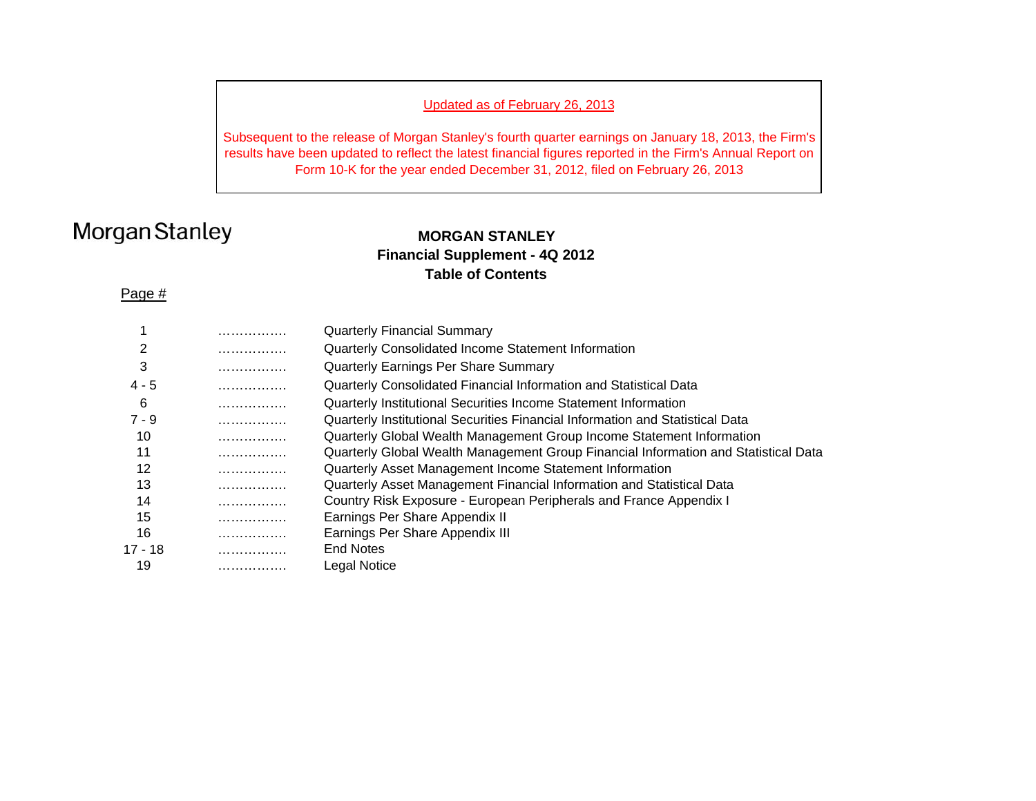## Updated as of February 26, 2013

Subsequent to the release of Morgan Stanley's fourth quarter earnings on January 18, 2013, the Firm's results have been updated to reflect the latest financial figures reported in the Firm's Annual Report on Form 10-K for the year ended December 31, 2012, filed on February 26, 2013

# Morgan Stanley

## **MORGAN STANLEYFinancial Supplement - 4Q 2012 Table of Contents**

### Page #

|         | . | <b>Quarterly Financial Summary</b>                                                  |
|---------|---|-------------------------------------------------------------------------------------|
|         | . | Quarterly Consolidated Income Statement Information                                 |
| 3       | . | Quarterly Earnings Per Share Summary                                                |
| $4 - 5$ | . | Quarterly Consolidated Financial Information and Statistical Data                   |
| 6       | . | Quarterly Institutional Securities Income Statement Information                     |
| $7 - 9$ | . | Quarterly Institutional Securities Financial Information and Statistical Data       |
| 10      | . | Quarterly Global Wealth Management Group Income Statement Information               |
| 11      | . | Quarterly Global Wealth Management Group Financial Information and Statistical Data |
| 12      | . | Quarterly Asset Management Income Statement Information                             |
| 13      | . | Quarterly Asset Management Financial Information and Statistical Data               |
| 14      | . | Country Risk Exposure - European Peripherals and France Appendix I                  |
| 15      | . | Earnings Per Share Appendix II                                                      |
| 16      | . | Earnings Per Share Appendix III                                                     |
| 17 - 18 | . | <b>End Notes</b>                                                                    |
| 19      | . | Legal Notice                                                                        |
|         |   |                                                                                     |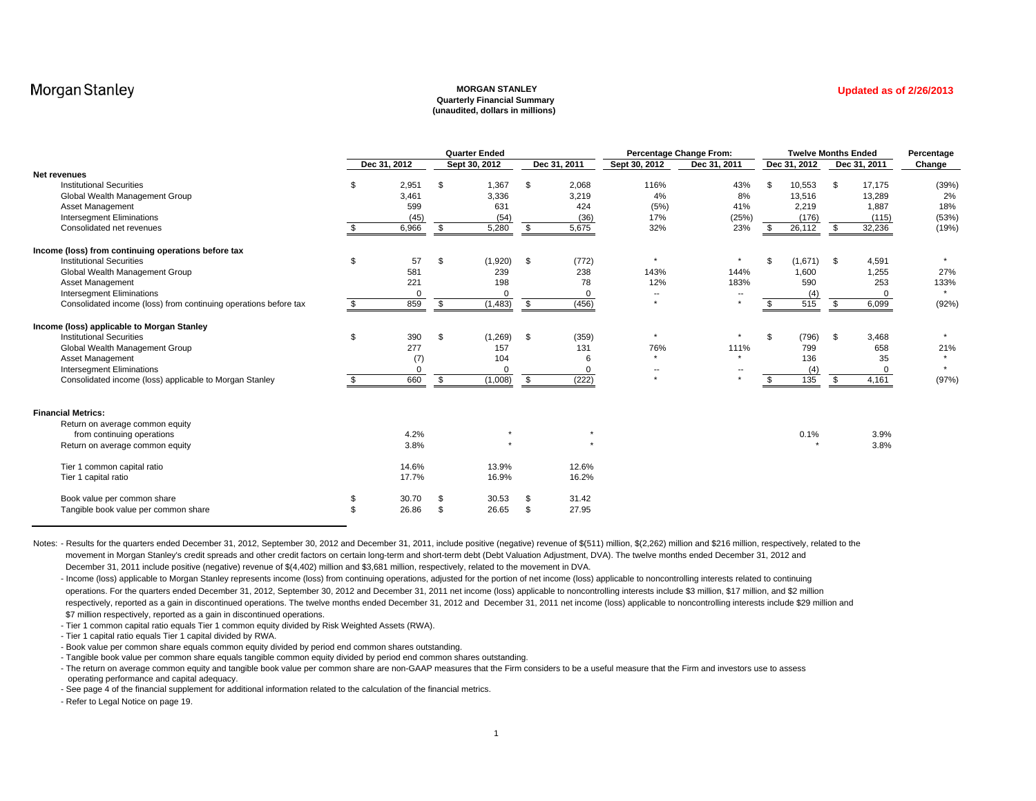#### **MORGAN STANLEY Quarterly Financial Summary (unaudited, dollars in millions)**

| <b>Updated as of 2/26/2013</b> |  |  |  |  |
|--------------------------------|--|--|--|--|

|                                                                  | <b>Quarter Ended</b> |              |    |               |      | <b>Percentage Change From:</b> |                          |                          | <b>Twelve Months Ended</b> | Percentage   |              |         |
|------------------------------------------------------------------|----------------------|--------------|----|---------------|------|--------------------------------|--------------------------|--------------------------|----------------------------|--------------|--------------|---------|
|                                                                  |                      | Dec 31, 2012 |    | Sept 30, 2012 |      | Dec 31, 2011                   | Sept 30, 2012            | Dec 31, 2011             |                            | Dec 31, 2012 | Dec 31, 2011 | Change  |
| Net revenues                                                     |                      |              |    |               |      |                                |                          |                          |                            |              |              |         |
| <b>Institutional Securities</b>                                  | \$                   | 2,951        | \$ | 1.367         | \$   | 2,068                          | 116%                     | 43%                      | - \$                       | 10,553       | \$<br>17,175 | (39%    |
| Global Wealth Management Group                                   |                      | 3,461        |    | 3,336         |      | 3,219                          | 4%                       | 8%                       |                            | 13,516       | 13,289       | 2%      |
| Asset Management                                                 |                      | 599          |    | 631           |      | 424                            | (5%)                     | 41%                      |                            | 2,219        | 1,887        | 18%     |
| <b>Intersegment Eliminations</b>                                 |                      | (45)         |    | (54)          |      | (36)                           | 17%                      | (25%)                    |                            | (176)        | (115)        | (53%)   |
| Consolidated net revenues                                        |                      | 6,966        | \$ | 5,280         | - \$ | 5,675                          | 32%                      | 23%                      | - \$                       | 26,112       | \$<br>32,236 | (19%    |
| Income (loss) from continuing operations before tax              |                      |              |    |               |      |                                |                          |                          |                            |              |              |         |
| <b>Institutional Securities</b>                                  | \$                   | 57           | \$ | (1,920)       | \$   | (772)                          | $\star$                  | $\star$                  | $\mathcal{F}$              | (1,671)      | \$<br>4,591  |         |
| Global Wealth Management Group                                   |                      | 581          |    | 239           |      | 238                            | 143%                     | 144%                     |                            | 1,600        | 1,255        | 27%     |
| Asset Management                                                 |                      | 221          |    | 198           |      | 78                             | 12%                      | 183%                     |                            | 590          | 253          | 133%    |
| <b>Intersegment Eliminations</b>                                 |                      |              |    |               |      | $\Omega$                       | $\overline{\phantom{a}}$ |                          |                            | (4)          | $\Omega$     |         |
| Consolidated income (loss) from continuing operations before tax | \$                   | 859          | \$ | (1, 483)      | \$   | (456)                          | $\star$                  | $\star$                  |                            | 515          | \$<br>6,099  | (92%    |
| Income (loss) applicable to Morgan Stanley                       |                      |              |    |               |      |                                |                          |                          |                            |              |              |         |
| <b>Institutional Securities</b>                                  | \$                   | 390          | \$ | (1, 269)      | \$   | (359)                          | $\star$                  |                          | . ጽ                        | (796)        | \$<br>3,468  | $\star$ |
| Global Wealth Management Group                                   |                      | 277          |    | 157           |      | 131                            | 76%                      | 111%                     |                            | 799          | 658          | 21%     |
| Asset Management                                                 |                      | (7)          |    | 104           |      | 6                              | $\star$                  | $\star$                  |                            | 136          | 35           |         |
| <b>Intersegment Eliminations</b>                                 |                      | $\Omega$     |    |               |      | $\Omega$                       | $\overline{\phantom{a}}$ | $\overline{\phantom{a}}$ |                            | (4)          | $\Omega$     |         |
| Consolidated income (loss) applicable to Morgan Stanley          | \$                   | 660          | \$ | (1,008)       | \$   | (222)                          | $\star$                  |                          |                            | 135          | \$<br>4,161  | (97%    |
|                                                                  |                      |              |    |               |      |                                |                          |                          |                            |              |              |         |
| <b>Financial Metrics:</b>                                        |                      |              |    |               |      |                                |                          |                          |                            |              |              |         |
| Return on average common equity                                  |                      |              |    |               |      |                                |                          |                          |                            |              |              |         |
| from continuing operations                                       |                      | 4.2%         |    |               |      |                                |                          |                          |                            | 0.1%         | 3.9%         |         |
| Return on average common equity                                  |                      | 3.8%         |    |               |      |                                |                          |                          |                            |              | 3.8%         |         |
| Tier 1 common capital ratio                                      |                      | 14.6%        |    | 13.9%         |      | 12.6%                          |                          |                          |                            |              |              |         |
| Tier 1 capital ratio                                             |                      | 17.7%        |    | 16.9%         |      | 16.2%                          |                          |                          |                            |              |              |         |
| Book value per common share                                      |                      | 30.70        | \$ | 30.53         | -96  | 31.42                          |                          |                          |                            |              |              |         |
| Tangible book value per common share                             | \$                   | 26.86        | \$ | 26.65         | \$.  | 27.95                          |                          |                          |                            |              |              |         |

Notes: - Results for the quarters ended December 31, 2012, September 30, 2012 and December 31, 2011, include positive (negative) revenue of \$(511) million, \$(2,262) million and \$216 million, respectively, related to the movement in Morgan Stanley's credit spreads and other credit factors on certain long-term and short-term debt (Debt Valuation Adjustment, DVA). The twelve months ended December 31, 2012 and December 31, 2011 include positive (negative) revenue of \$(4,402) million and \$3,681 million, respectively, related to the movement in DVA.

- Income (loss) applicable to Morgan Stanley represents income (loss) from continuing operations, adjusted for the portion of net income (loss) applicable to noncontrolling interests related to continuing operations. For the quarters ended December 31, 2012, September 30, 2012 and December 31, 2011 net income (loss) applicable to noncontrolling interests include \$3 million, \$17 million, and \$2 million, and \$2 million respectively, reported as a gain in discontinued operations. The twelve months ended December 31, 2012 and December 31, 2011 net income (loss) applicable to noncontrolling interests include \$29 million and \$7 million respectively, reported as a gain in discontinued operations.

- Tier 1 common capital ratio equals Tier 1 common equity divided by Risk Weighted Assets (RWA).

- Tier 1 capital ratio equals Tier 1 capital divided by RWA.

- Book value per common share equals common equity divided by period end common shares outstanding.

- Tangible book value per common share equals tangible common equity divided by period end common shares outstanding.

- The return on average common equity and tangible book value per common share are non-GAAP measures that the Firm considers to be a useful measure that the Firm and investors use to assess operating performance and capital adequacy.

- See page 4 of the financial supplement for additional information related to the calculation of the financial metrics.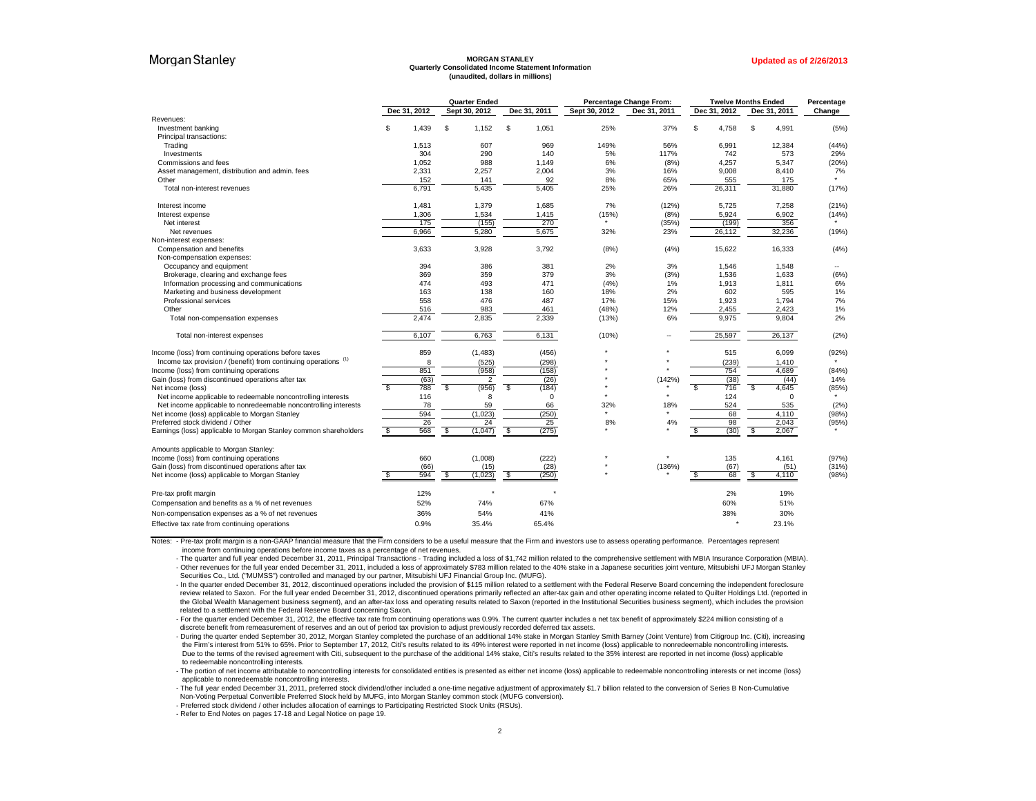#### **MORGAN STANLEY Quarterly Consolidated Income Statement Information (unaudited, dollars in millions)**

|                                                                            |                         |      | <b>Quarter Ended</b> |              |               | Percentage Change From: |              | <b>Twelve Months Ended</b> | Percentage |
|----------------------------------------------------------------------------|-------------------------|------|----------------------|--------------|---------------|-------------------------|--------------|----------------------------|------------|
|                                                                            | Dec 31, 2012            |      | Sept 30, 2012        | Dec 31, 2011 | Sept 30, 2012 | Dec 31, 2011            | Dec 31, 2012 | Dec 31, 2011               | Change     |
| Revenues:                                                                  |                         |      |                      |              |               |                         |              |                            |            |
| Investment banking                                                         | \$<br>1.439             |      | \$<br>1,152          | \$<br>1,051  | 25%           | 37%                     | \$<br>4,758  | \$<br>4,991                | (5%)       |
| Principal transactions:                                                    |                         |      |                      |              |               |                         |              |                            |            |
| Trading                                                                    | 1,513                   |      | 607                  | 969          | 149%          | 56%                     | 6,991        | 12,384                     | (44%       |
| Investments                                                                |                         | 304  | 290                  | 140          | 5%            | 117%                    | 742          | 573                        | 29%        |
| Commissions and fees                                                       | 1.052                   |      | 988                  | 1.149        | 6%            | (8%)                    | 4.257        | 5,347                      | (20%       |
| Asset management, distribution and admin. fees                             | 2,331                   |      | 2,257                | 2,004        | 3%            | 16%                     | 9,008        | 8,410                      | 7%         |
| Other                                                                      |                         | 152  | 141                  | 92           | 8%            | 65%                     | 555          | 175                        |            |
| Total non-interest revenues                                                | 6,791                   |      | 5,435                | 5,405        | 25%           | 26%                     | 26,311       | 31,880                     | (17%)      |
| Interest income                                                            | 1,481                   |      | 1,379                | 1,685        | 7%            | (12%)                   | 5.725        | 7,258                      | (21%)      |
| Interest expense                                                           | 1,306                   |      | 1,534                | 1,415        | (15%)         | (8%)                    | 5,924        | 6,902                      | (14%)      |
| Net interest                                                               |                         | 175  | (155)                | 270          |               | (35%)                   | (199)        | 356                        |            |
| Net revenues                                                               | 6,966                   |      | 5,280                | 5,675        | 32%           | 23%                     | 26,112       | 32,236                     | (19%)      |
| Non-interest expenses:                                                     |                         |      |                      |              |               |                         |              |                            |            |
| Compensation and benefits                                                  | 3,633                   |      | 3,928                | 3,792        | (8%)          | (4%)                    | 15,622       | 16,333                     | (4% )      |
| Non-compensation expenses:                                                 |                         |      |                      |              |               |                         |              |                            |            |
| Occupancy and equipment                                                    |                         | 394  | 386                  | 381          | 2%            | 3%                      | 1,546        | 1,548                      |            |
| Brokerage, clearing and exchange fees                                      |                         | 369  | 359                  | 379          | 3%            | (3%)                    | 1,536        | 1,633                      | (6%)       |
| Information processing and communications                                  |                         | 474  | 493                  | 471          | (4% )         | 1%                      | 1,913        | 1,811                      | 6%         |
| Marketing and business development                                         |                         | 163  | 138                  | 160          | 18%           | 2%                      | 602          | 595                        | 1%         |
| Professional services                                                      |                         | 558  | 476                  | 487          | 17%           | 15%                     | 1,923        | 1,794                      | 7%         |
| Other                                                                      |                         | 516  | 983                  | 461          | (48%)         | 12%                     | 2,455        | 2,423                      | 1%         |
| Total non-compensation expenses                                            | 2.474                   |      | 2.835                | 2,339        | (13%)         | 6%                      | 9.975        | 9.804                      | 2%         |
| Total non-interest expenses                                                | 6,107                   |      | 6,763                | 6,131        | (10%)         |                         | 25,597       | 26,137                     | (2% )      |
| Income (loss) from continuing operations before taxes                      |                         | 859  | (1, 483)             | (456)        |               |                         | 515          | 6.099                      | (92%)      |
| Income tax provision / (benefit) from continuing operations <sup>(1)</sup> |                         | 8    | (525)                | (298)        |               |                         | (239)        | 1,410                      |            |
| Income (loss) from continuing operations                                   |                         | 851  | (958)                | (158)        |               |                         | 754          | 4,689                      | (84% )     |
| Gain (loss) from discontinued operations after tax                         |                         | (63) | 2                    | (26)         |               | (142%)                  | (38)         | (44)                       | 14%        |
| Net income (loss)                                                          | $\overline{\mathbf{s}}$ | 788  | (956)<br>-\$         | (184)<br>S   |               |                         | 716<br>\$    | ŝ,<br>4,645                | (85%)      |
| Net income applicable to redeemable noncontrolling interests               |                         | 116  | 8                    | 0            |               |                         | 124          | $\Omega$                   |            |
| Net income applicable to nonredeemable noncontrolling interests            |                         | 78   | 59                   | 66           | 32%           | 18%                     | 524          | 535                        | (2% )      |
| Net income (loss) applicable to Morgan Stanley                             |                         | 594  | (1,023)              | (250)        |               |                         | 68           | 4,110                      | (98%)      |
| Preferred stock dividend / Other                                           |                         | 26   | 24                   | 25           | 8%            | 4%                      | 98           | 2,043                      | (95%)      |
| Earnings (loss) applicable to Morgan Stanley common shareholders           | \$                      | 568  | (1,047)<br>-\$       | (275)<br>\$  |               | ٠                       | (30)<br>S    | 2,067<br>\$                |            |
| Amounts applicable to Morgan Stanley:                                      |                         |      |                      |              |               |                         |              |                            |            |
| Income (loss) from continuing operations                                   |                         | 660  | (1,008)              | (222)        |               |                         | 135          | 4,161                      | (97%)      |
| Gain (loss) from discontinued operations after tax                         |                         | (66) | (15)                 | (28)         |               | (136%)                  | (67)         | (51)                       | (31%)      |
| Net income (loss) applicable to Morgan Stanley                             | \$                      | 594  | \$<br>(1,023)        | (250)<br>\$  |               |                         | 68<br>\$     | 4,110<br>\$                | (98%       |
| Pre-tax profit margin                                                      |                         | 12%  |                      |              |               |                         | 2%           | 19%                        |            |
| Compensation and benefits as a % of net revenues                           |                         | 52%  | 74%                  | 67%          |               |                         | 60%          | 51%                        |            |
| Non-compensation expenses as a % of net revenues                           |                         | 36%  | 54%                  | 41%          |               |                         | 38%          | 30%                        |            |
| Effective tax rate from continuing operations                              | 0.9%                    |      | 35.4%                | 65.4%        |               |                         |              | 23.1%                      |            |
|                                                                            |                         |      |                      |              |               |                         |              |                            |            |

Notes: - Pre-tax profit margin is a non-GAAP financial measure that the Firm considers to be a useful measure that the Firm and investors use to assess operating performance. Percentages represent income from continuing operations before income taxes as a percentage of net revenues.

- The quarter and full year ended December 31, 2011, Principal Transactions - Trading included a loss of \$1,742 million related to the comprehensive settlement with MBIA Insurance Corporation (MBIA). - Other revenues for the full year ended December 31, 2011, included a loss of approximately \$783 million related to the 40% stake in a Japanese securities joint venture, Mitsubishi UFJ Morgan Stanley Securities Co., Ltd. ("MUMSS") controlled and managed by our partner, Mitsubishi UFJ Financial Group Inc. (MUFG).

- In the quarter ended December 31, 2012, discontinued operations included the provision of \$115 million related to a settlement with the Federal Reserve Board concerning the independent foreclosure review related to Saxon. For the full year ended December 31, 2012, discontinued operations primarily reflected an after-tax gain and other operating income related to Quilter Holdings Ltd. (reported in the Global Wealth Management business segment), and an after-tax loss and operating results related to Saxon (reported in the Institutional Securities business segment), which includes the provision related to a settlement with the Federal Reserve Board concerning Saxon.

- For the quarter ended December 31, 2012, the effective tax rate from continuing operations was 0.9%. The current quarter includes a net tax benefit of approximately \$224 million consisting of a discrete benefit from remeasurement of reserves and an out of period tax provision to adjust previously recorded deferred tax assets.

- During the quarter ended September 30, 2012, Morgan Stanley completed the purchase of an additional 14% stake in Morgan Stanley Smith Barney (Joint Venture) from Citigroup Inc. (Citi), increasing the Firm's interest from 51% to 65%. Prior to September 17, 2012, Citi's results related to its 49% interest were reported in net income (loss) applicable to nonredeemable noncontrolling interests. Due to the terms of the revised agreement with Citi, subsequent to the purchase of the additional 14% stake, Citi's results related to the 35% interest are reported in net income (loss) applicable to redeemable noncontrolling interests.

- The portion of net income attributable to noncontrolling interests for consolidated entities is presented as either net income (loss) applicable to redeemable noncontrolling interests or net income (loss) applicable to nonredeemable noncontrolling interests.

- The full year ended December 31, 2011, preferred stock dividend/other included a one-time negative adjustment of approximately \$1.7 billion related to the conversion of Series B Non-Cumulative Non-Voting Perpetual Convertible Preferred Stock held by MUFG, into Morgan Stanley common stock (MUFG conversion).

- Preferred stock dividend / other includes allocation of earnings to Participating Restricted Stock Units (RSUs).

- Refer to End Notes on pages 17-18 and Legal Notice on page 19.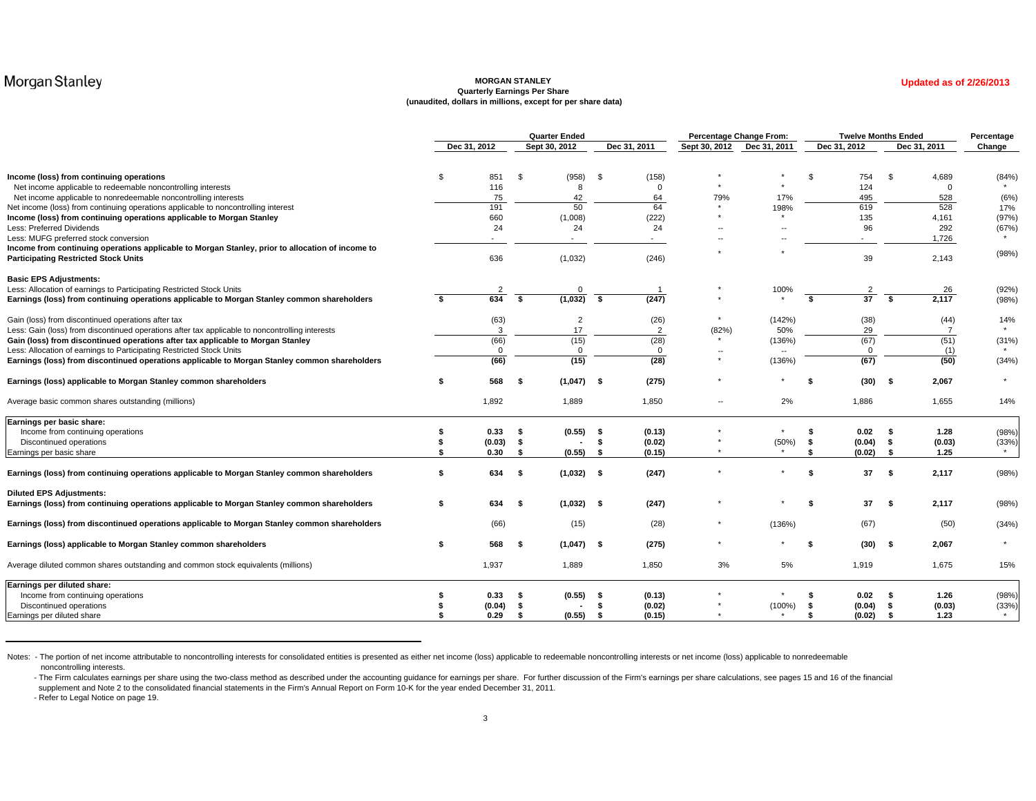#### **MORGAN STANLEY Quarterly Earnings Per Share (unaudited, dollars in millions, except for per share data)**

|                                                                                                                                                 |    |                |             | <b>Quarter Ended</b>     |          |                  |                            | Percentage Change From: |      | <b>Twelve Months Ended</b> |           |                | Percentage |
|-------------------------------------------------------------------------------------------------------------------------------------------------|----|----------------|-------------|--------------------------|----------|------------------|----------------------------|-------------------------|------|----------------------------|-----------|----------------|------------|
|                                                                                                                                                 |    | Dec 31, 2012   |             | Sept 30, 2012            |          | Dec 31, 2011     | Sept 30, 2012 Dec 31, 2011 |                         |      | Dec 31, 2012               |           | Dec 31, 2011   | Change     |
| Income (loss) from continuing operations                                                                                                        | \$ | 851            | \$          | (958)                    | - \$     | (158)            |                            |                         | \$   | 754                        | \$        | 4,689          | (84%       |
| Net income applicable to redeemable noncontrolling interests                                                                                    |    | 116            |             | 8                        |          | $\Omega$         |                            |                         |      | 124                        |           | $\mathbf 0$    |            |
| Net income applicable to nonredeemable noncontrolling interests                                                                                 |    | 75             |             | 42                       |          | 64               | 79%                        | 17%                     |      | 495                        |           | 528            | (6%)       |
| Net income (loss) from continuing operations applicable to noncontrolling interest                                                              |    | 191            |             | 50                       |          | 64               |                            | 198%                    |      | 619                        |           | 528            | 17%        |
| Income (loss) from continuing operations applicable to Morgan Stanley                                                                           |    | 660            |             | (1,008)                  |          | (222)            |                            | $\star$                 |      | 135                        |           | 4,161          | (97%)      |
| Less: Preferred Dividends                                                                                                                       |    | 24             |             | 24                       |          | 24               | $\overline{\phantom{a}}$   |                         |      | 96                         |           | 292            | (67%)      |
| Less: MUFG preferred stock conversion                                                                                                           |    |                |             | $\overline{\phantom{0}}$ |          |                  |                            |                         |      |                            |           | 1,726          |            |
| Income from continuing operations applicable to Morgan Stanley, prior to allocation of income to<br><b>Participating Restricted Stock Units</b> |    | 636            |             | (1,032)                  |          | (246)            |                            |                         |      | 39                         |           | 2,143          | (98%)      |
| <b>Basic EPS Adjustments:</b>                                                                                                                   |    |                |             |                          |          |                  |                            |                         |      |                            |           |                |            |
| Less: Allocation of earnings to Participating Restricted Stock Units                                                                            |    | $\overline{2}$ |             | $\Omega$                 |          |                  |                            | 100%                    |      | $\overline{2}$             |           | 26             | (92%)      |
| Earnings (loss) from continuing operations applicable to Morgan Stanley common shareholders                                                     | \$ | 634            | - \$        | (1,032)                  | <b>S</b> | (247)            |                            |                         | s.   | 37                         | - \$      | 2,117          | (98%)      |
| Gain (loss) from discontinued operations after tax                                                                                              |    | (63)           |             | $\overline{2}$           |          | (26)             |                            | (142%)                  |      | (38)                       |           | (44)           | 14%        |
| Less: Gain (loss) from discontinued operations after tax applicable to noncontrolling interests                                                 |    | 3              |             | 17                       |          | $\overline{2}$   | (82%)                      | 50%                     |      | 29                         |           | $\overline{7}$ |            |
| Gain (loss) from discontinued operations after tax applicable to Morgan Stanley                                                                 |    | (66)           |             | (15)                     |          | (28)             |                            | (136%)                  |      | (67)                       |           | (51)           | (31%)      |
| Less: Allocation of earnings to Participating Restricted Stock Units                                                                            |    | $\Omega$       |             | $\Omega$                 |          | $\Omega$         | $\star$                    |                         |      |                            |           | (1)            |            |
| Earnings (loss) from discontinued operations applicable to Morgan Stanley common shareholders                                                   |    | (66)           |             | (15)                     |          | (28)             |                            | (136%)                  |      | (67)                       |           | (50)           | (34%)      |
| Earnings (loss) applicable to Morgan Stanley common shareholders                                                                                | S  | 568            | -\$         | $(1,047)$ \$             |          | (275)            | $^\star$                   |                         | -\$  | (30)                       | - \$      | 2,067          |            |
| Average basic common shares outstanding (millions)                                                                                              |    | 1,892          |             | 1,889                    |          | 1,850            | $\overline{\phantom{a}}$   | 2%                      |      | 1,886                      |           | 1,655          | 14%        |
| Earnings per basic share:                                                                                                                       |    |                |             |                          |          |                  |                            |                         |      |                            |           |                |            |
| Income from continuing operations                                                                                                               | S  | 0.33           | - \$        | $(0.55)$ \$              |          | (0.13)           |                            |                         |      | 0.02                       | - \$      | 1.28           | (98%)      |
| Discontinued operations                                                                                                                         | \$ | (0.03)         | - \$<br>\$  | $(0.55)$ \$              | - \$     | (0.02)           |                            | (50%)                   | - \$ | (0.04)                     | - \$      | (0.03)         | (33%)      |
| Earnings per basic share                                                                                                                        |    | 0.30           |             |                          |          | (0.15)           |                            |                         |      | (0.02)                     | - \$      | 1.25           |            |
| Earnings (loss) from continuing operations applicable to Morgan Stanley common shareholders                                                     | \$ | 634            | - \$        | $(1,032)$ \$             |          | (247)            |                            |                         | \$   | 37                         | - \$      | 2,117          | (98%)      |
| <b>Diluted EPS Adjustments:</b>                                                                                                                 |    |                |             |                          |          |                  |                            |                         |      |                            |           |                |            |
| Earnings (loss) from continuing operations applicable to Morgan Stanley common shareholders                                                     | \$ | 634            | - \$        | $(1,032)$ \$             |          | (247)            |                            |                         | \$   | 37                         | - \$      | 2,117          | (98%)      |
| Earnings (loss) from discontinued operations applicable to Morgan Stanley common shareholders                                                   |    | (66)           |             | (15)                     |          | (28)             | $^\star$                   | (136%)                  |      | (67)                       |           | (50)           | (34%)      |
| Earnings (loss) applicable to Morgan Stanley common shareholders                                                                                | \$ | 568            | -\$         | $(1,047)$ \$             |          | (275)            | $^\star$                   |                         | \$   | (30)                       | - \$      | 2,067          | $\star$    |
| Average diluted common shares outstanding and common stock equivalents (millions)                                                               |    | 1,937          |             | 1,889                    |          | 1,850            | 3%                         | 5%                      |      | 1,919                      |           | 1,675          | 15%        |
| Earnings per diluted share:                                                                                                                     |    |                |             |                          |          |                  |                            |                         |      |                            |           |                |            |
| Income from continuing operations                                                                                                               |    | 0.33           | - S         | $(0.55)$ \$              |          | (0.13)           |                            |                         |      | 0.02                       |           | 1.26           | (98%)      |
| Discontinued operations<br>Earnings per diluted share                                                                                           |    | (0.04)<br>0.29 | - \$<br>-\$ | $(0.55)$ \$              | - \$     | (0.02)<br>(0.15) |                            | (100%)                  | - \$ | (0.04)<br>(0.02)           | -\$<br>\$ | (0.03)<br>1.23 | (33%)      |
|                                                                                                                                                 |    |                |             |                          |          |                  |                            |                         |      |                            |           |                |            |

Notes: - The portion of net income attributable to noncontrolling interests for consolidated entities is presented as either net income (loss) applicable to redeemable noncontrolling interests or net income (loss) applicab noncontrolling interests.

- The Firm calculates earnings per share using the two-class method as described under the accounting guidance for earnings per share. For further discussion of the Firm's earnings per share calculations, see pages 15 and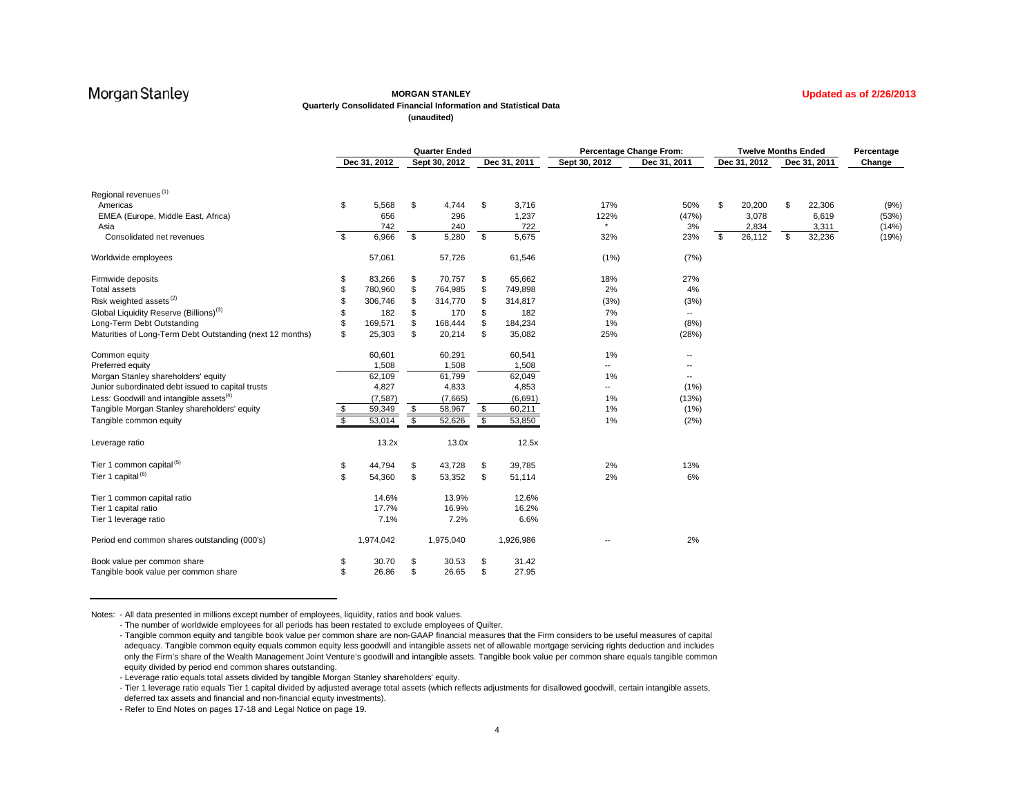### **MORGAN STANLEY**

**Updated as of 2/26/2013**

#### **Quarterly Consolidated Financial Information and Statistical Data**

**(unaudited)**

|                                                           | <b>Quarter Ended</b> |              |           |               | <b>Percentage Change From:</b> |                          |                          | <b>Twelve Months Ended</b> |              | Percentage |              |        |
|-----------------------------------------------------------|----------------------|--------------|-----------|---------------|--------------------------------|--------------------------|--------------------------|----------------------------|--------------|------------|--------------|--------|
|                                                           |                      | Dec 31, 2012 |           | Sept 30, 2012 | Dec 31, 2011                   | Sept 30, 2012            | Dec 31, 2011             |                            | Dec 31, 2012 |            | Dec 31, 2011 | Change |
| Regional revenues <sup>(1)</sup>                          |                      |              |           |               |                                |                          |                          |                            |              |            |              |        |
| Americas                                                  | \$                   | 5,568        | \$        | 4,744         | \$<br>3,716                    | 17%                      | 50%                      | \$                         | 20,200       | \$         | 22,306       | (9%)   |
| EMEA (Europe, Middle East, Africa)                        |                      | 656          |           | 296           | 1,237                          | 122%                     | (47%)                    |                            | 3,078        |            | 6,619        | (53%)  |
| Asia                                                      |                      | 742          |           | 240           | 722                            | $\star$                  | 3%                       |                            | 2,834        |            | 3,311        | (14%)  |
| Consolidated net revenues                                 | S.                   | 6,966        | $\bullet$ | 5,280         | \$<br>5,675                    | 32%                      | 23%                      | S.                         | 26,112       | \$         | 32,236       | (19%)  |
| Worldwide employees                                       |                      | 57,061       |           | 57,726        | 61,546                         | (1%)                     | (7%)                     |                            |              |            |              |        |
| Firmwide deposits                                         | S                    | 83,266       | \$        | 70,757        | \$<br>65,662                   | 18%                      | 27%                      |                            |              |            |              |        |
| <b>Total assets</b>                                       | \$                   | 780,960      | \$        | 764,985       | \$<br>749,898                  | 2%                       | 4%                       |                            |              |            |              |        |
| Risk weighted assets <sup>(2)</sup>                       |                      | 306,746      |           | 314,770       | \$<br>314,817                  | (3%)                     | (3%)                     |                            |              |            |              |        |
| Global Liquidity Reserve (Billions) <sup>(3)</sup>        |                      | 182          | \$        | 170           | \$<br>182                      | 7%                       | $\overline{\phantom{a}}$ |                            |              |            |              |        |
| Long-Term Debt Outstanding                                |                      | 169,571      | \$        | 168,444       | \$<br>184,234                  | 1%                       | (8%)                     |                            |              |            |              |        |
| Maturities of Long-Term Debt Outstanding (next 12 months) | \$                   | 25,303       | \$        | 20,214        | \$<br>35,082                   | 25%                      | (28%)                    |                            |              |            |              |        |
| Common equity                                             |                      | 60,601       |           | 60,291        | 60,541                         | 1%                       | --                       |                            |              |            |              |        |
| Preferred equity                                          |                      | 1,508        |           | 1,508         | 1,508                          | $\overline{\phantom{a}}$ | $\overline{\phantom{a}}$ |                            |              |            |              |        |
| Morgan Stanley shareholders' equity                       |                      | 62,109       |           | 61,799        | 62,049                         | 1%                       | $\overline{\phantom{a}}$ |                            |              |            |              |        |
| Junior subordinated debt issued to capital trusts         |                      | 4,827        |           | 4,833         | 4,853                          | $\overline{\phantom{a}}$ | (1%)                     |                            |              |            |              |        |
| Less: Goodwill and intangible assets <sup>(4)</sup>       |                      | (7, 587)     |           | (7,665)       | (6,691)                        | 1%                       | (13%)                    |                            |              |            |              |        |
| Tangible Morgan Stanley shareholders' equity              | S                    | 59,349       | \$        | 58,967        | \$<br>60,211                   | 1%                       | (1%)                     |                            |              |            |              |        |
| Tangible common equity                                    | \$                   | 53,014       | \$        | 52,626        | \$<br>53,850                   | 1%                       | (2%)                     |                            |              |            |              |        |
| Leverage ratio                                            |                      | 13.2x        |           | 13.0x         | 12.5x                          |                          |                          |                            |              |            |              |        |
| Tier 1 common capital <sup>(5)</sup>                      | \$                   | 44,794       | \$        | 43,728        | \$<br>39,785                   | 2%                       | 13%                      |                            |              |            |              |        |
| Tier 1 capital <sup>(6)</sup>                             | \$                   | 54,360       | \$        | 53,352        | \$<br>51,114                   | 2%                       | 6%                       |                            |              |            |              |        |
| Tier 1 common capital ratio                               |                      | 14.6%        |           | 13.9%         | 12.6%                          |                          |                          |                            |              |            |              |        |
| Tier 1 capital ratio                                      |                      | 17.7%        |           | 16.9%         | 16.2%                          |                          |                          |                            |              |            |              |        |
| Tier 1 leverage ratio                                     |                      | 7.1%         |           | 7.2%          | 6.6%                           |                          |                          |                            |              |            |              |        |
| Period end common shares outstanding (000's)              |                      | 1,974,042    |           | 1,975,040     | 1,926,986                      |                          | 2%                       |                            |              |            |              |        |
| Book value per common share                               | S                    | 30.70        | \$        | 30.53         | \$<br>31.42                    |                          |                          |                            |              |            |              |        |
| Tangible book value per common share                      | \$                   | 26.86        | \$        | 26.65         | \$<br>27.95                    |                          |                          |                            |              |            |              |        |

Notes: - All data presented in millions except number of employees, liquidity, ratios and book values.

- The number of worldwide employees for all periods has been restated to exclude employees of Quilter.

<sup>-</sup> Tangible common equity and tangible book value per common share are non-GAAP financial measures that the Firm considers to be useful measures of capital adequacy. Tangible common equity equals common equity less goodwill and intangible assets net of allowable mortgage servicing rights deduction and includes only the Firm's share of the Wealth Management Joint Venture's goodwill and intangible assets. Tangible book value per common share equals tangible common equity divided by period end common shares outstanding.

<sup>-</sup> Leverage ratio equals total assets divided by tangible Morgan Stanley shareholders' equity.

<sup>-</sup> Tier 1 leverage ratio equals Tier 1 capital divided by adjusted average total assets (which reflects adjustments for disallowed goodwill, certain intangible assets, deferred tax assets and financial and non-financial equity investments).

<sup>-</sup> Refer to End Notes on pages 17-18 and Legal Notice on page 19.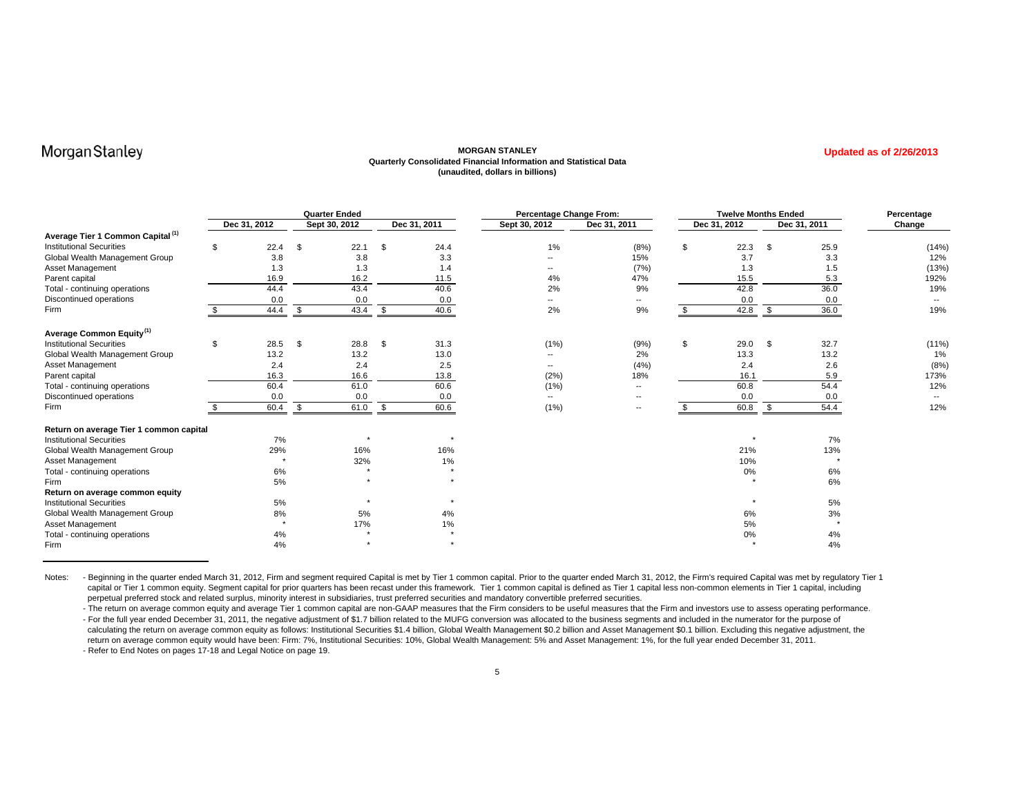### **MORGAN STANLEY Quarterly Consolidated Financial Information and Statistical Data (unaudited, dollars in billions)**

**Updated as of 2/26/2013**

|                                              |     |              | <b>Quarter Ended</b> |    |              | Percentage Change From:  |                          | <b>Twelve Months Ended</b> |     |              | Percentage |
|----------------------------------------------|-----|--------------|----------------------|----|--------------|--------------------------|--------------------------|----------------------------|-----|--------------|------------|
|                                              |     | Dec 31, 2012 | Sept 30, 2012        |    | Dec 31, 2011 | Sept 30, 2012            | Dec 31, 2011             | Dec 31, 2012               |     | Dec 31, 2011 | Change     |
| Average Tier 1 Common Capital <sup>(1)</sup> |     |              |                      |    |              |                          |                          |                            |     |              |            |
| <b>Institutional Securities</b>              | \$. | 22.4         | \$<br>22.1           | S  | 24.4         | 1%                       | (8%)                     | \$<br>22.3                 | S   | 25.9         | (14%       |
| Global Wealth Management Group               |     | 3.8          | 3.8                  |    | 3.3          | --                       | 15%                      | 3.7                        |     | 3.3          | 12%        |
| Asset Management                             |     | 1.3          | 1.3                  |    | 1.4          | --                       | (7%)                     | 1.3                        |     | 1.5          | (13%)      |
| Parent capital                               |     | 16.9         | 16.2                 |    | 11.5         | 4%                       | 47%                      | 15.5                       |     | 5.3          | 192%       |
| Total - continuing operations                |     | 44.4         | 43.4                 |    | 40.6         | 2%                       | 9%                       | 42.8                       |     | 36.0         | 19%        |
| Discontinued operations                      |     | 0.0          | 0.0                  |    | 0.0          | --                       | ۰.                       | 0.0                        |     | 0.0          | $-$        |
| Firm                                         |     | 44.4         | \$<br>43.4           | S. | 40.6         | 2%                       | 9%                       | 42.8                       | \$. | 36.0         | 19%        |
| Average Common Equity <sup>(1)</sup>         |     |              |                      |    |              |                          |                          |                            |     |              |            |
| <b>Institutional Securities</b>              | \$  | 28.5         | \$<br>28.8           | \$ | 31.3         | (1%)                     | (9%)                     | \$<br>29.0                 | \$  | 32.7         | (11%       |
| Global Wealth Management Group               |     | 13.2         | 13.2                 |    | 13.0         | --                       | 2%                       | 13.3                       |     | 13.2         | 1%         |
| Asset Management                             |     | 2.4          | 2.4                  |    | 2.5          | $\overline{\phantom{a}}$ | (4% )                    | 2.4                        |     | 2.6          | (8%        |
| Parent capital                               |     | 16.3         | 16.6                 |    | 13.8         | (2%)                     | 18%                      | 16.1                       |     | 5.9          | 173%       |
| Total - continuing operations                |     | 60.4         | 61.0                 |    | 60.6         | (1%)                     | $\overline{\phantom{a}}$ | 60.8                       |     | 54.4         | 12%        |
| Discontinued operations                      |     | 0.0          | 0.0                  |    | 0.0          | $- -$                    | --                       | 0.0                        |     | 0.0          |            |
| Firm                                         |     | 60.4         | \$<br>61.0           | \$ | 60.6         | (1%)                     | $\overline{\phantom{a}}$ | 60.8                       | \$  | 54.4         | 12%        |
| Return on average Tier 1 common capital      |     |              |                      |    |              |                          |                          |                            |     |              |            |
| <b>Institutional Securities</b>              |     | 7%           |                      |    | $\star$      |                          |                          |                            |     | 7%           |            |
| Global Wealth Management Group               |     | 29%          | 16%                  |    | 16%          |                          |                          | 21%                        |     | 13%          |            |
| Asset Management                             |     | $\star$      | 32%                  |    | 1%           |                          |                          | 10%                        |     |              |            |
| Total - continuing operations                |     | 6%           |                      |    | $\star$      |                          |                          | 0%                         |     | 6%           |            |
| Firm                                         |     | 5%           |                      |    |              |                          |                          |                            |     | 6%           |            |
| Return on average common equity              |     |              |                      |    |              |                          |                          |                            |     |              |            |
| <b>Institutional Securities</b>              |     | 5%           |                      |    |              |                          |                          |                            |     | 5%           |            |
| Global Wealth Management Group               |     | 8%           | 5%                   |    | 4%           |                          |                          | 6%                         |     | 3%           |            |
| Asset Management                             |     | $\star$      | 17%                  |    | $1\%$        |                          |                          | 5%                         |     |              |            |
| Total - continuing operations                |     | 4%           | $\star$              |    | $\star$      |                          |                          | 0%                         |     | 4%           |            |
| Firm                                         |     | 4%           | $\star$              |    | $\star$      |                          |                          |                            |     | 4%           |            |

Notes: - Beginning in the quarter ended March 31, 2012, Firm and segment required Capital is met by Tier 1 common capital. Prior to the quarter ended March 31, 2012, the Firm's required Capital was met by regulatory Tier 1 capital or Tier 1 common equity. Segment capital for prior quarters has been recast under this framework. Tier 1 common capital is defined as Tier 1 capital less non-common elements in Tier 1 capital, including perpetual preferred stock and related surplus, minority interest in subsidiaries, trust preferred securities and mandatory convertible preferred securities.

- The return on average common equity and average Tier 1 common capital are non-GAAP measures that the Firm considers to be useful measures that the Firm and investors use to assess operating performance. - For the full year ended December 31, 2011, the negative adjustment of \$1.7 billion related to the MUFG conversion was allocated to the business segments and included in the numerator for the purpose of calculating the return on average common equity as follows: Institutional Securities \$1.4 billion, Global Wealth Management \$0.2 billion and Asset Management \$0.1 billion. Excluding this negative adjustment, the return on average common equity would have been: Firm: 7%, Institutional Securities: 10%, Global Wealth Management: 5% and Asset Management: 1%, for the full year ended December 31, 2011. - Refer to End Notes on pages 17-18 and Legal Notice on page 19.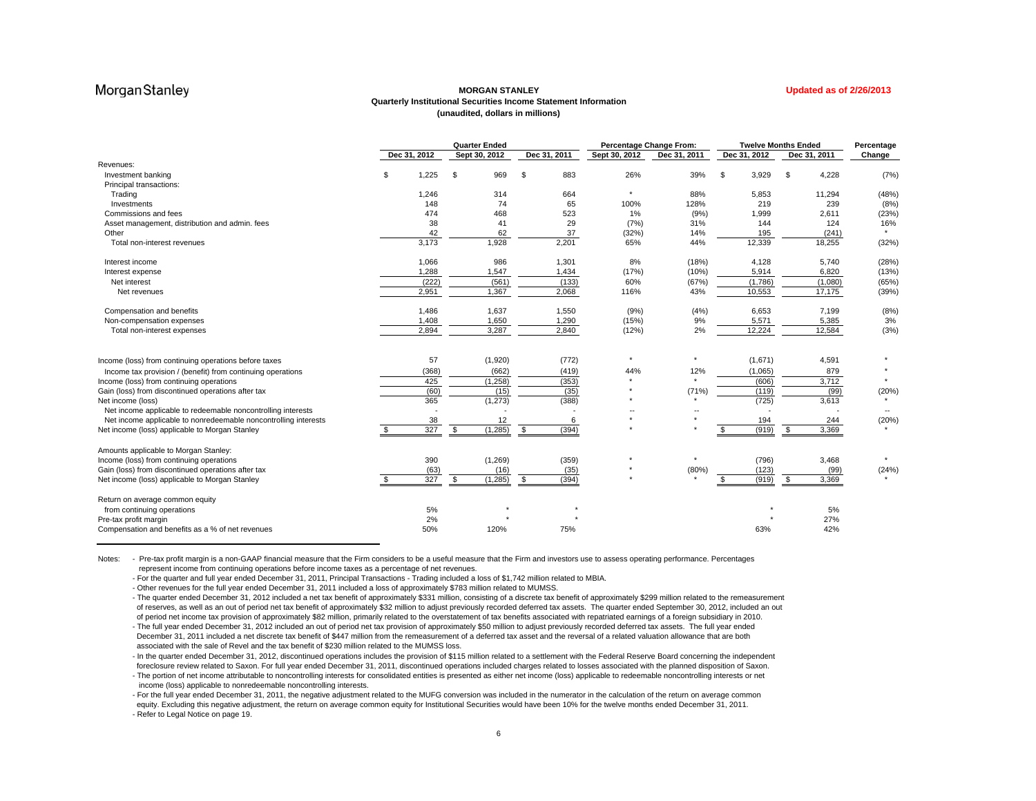### **MORGAN STANLEYQuarterly Institutional Securities Income Statement Information (unaudited, dollars in millions)**

|                                                                 |              | <b>Quarter Ended</b> |               |               | Percentage Change From: |              | <b>Twelve Months Ended</b> | Percentage |
|-----------------------------------------------------------------|--------------|----------------------|---------------|---------------|-------------------------|--------------|----------------------------|------------|
|                                                                 | Dec 31, 2012 | Sept 30, 2012        | Dec 31, 2011  | Sept 30, 2012 | Dec 31, 2011            | Dec 31, 2012 | Dec 31, 2011               | Change     |
| Revenues:                                                       |              |                      |               |               |                         |              |                            |            |
| Investment banking                                              | 1,225        | \$<br>969            | \$<br>883     | 26%           | 39%                     | 3,929<br>\$  | \$<br>4,228                | (7%        |
| Principal transactions:                                         |              |                      |               |               |                         |              |                            |            |
| Trading                                                         | 1,246        | 314                  | 664           | $\star$       | 88%                     | 5,853        | 11,294                     | (48%       |
| Investments                                                     | 148          | 74                   | 65            | 100%          | 128%                    | 219          | 239                        | (8%        |
| Commissions and fees                                            | 474          | 468                  | 523           | 1%            | (9%)                    | 1,999        | 2,611                      | (23%       |
| Asset management, distribution and admin. fees                  | 38           | 41                   | 29            | (7%)          | 31%                     | 144          | 124                        | 16%        |
| Other                                                           | 42           | 62                   | 37            | (32%)         | 14%                     | 195          | (241)                      |            |
| Total non-interest revenues                                     | 3,173        | 1,928                | 2,201         | 65%           | 44%                     | 12,339       | 18,255                     | (32%)      |
| Interest income                                                 | 1,066        | 986                  | 1,301         | 8%            | (18%)                   | 4,128        | 5,740                      | (28%       |
| Interest expense                                                | 1,288        | 1,547                | 1,434         | (17%)         | (10%)                   | 5,914        | 6,820                      | (13%       |
| Net interest                                                    | (222)        | (561)                | (133)         | 60%           | (67%)                   | (1,786)      | (1,080)                    | (65%       |
| Net revenues                                                    | 2,951        | 1,367                | 2,068         | 116%          | 43%                     | 10,553       | 17,175                     | (39%       |
| Compensation and benefits                                       | 1,486        | 1,637                | 1,550         | (9%)          | (4%)                    | 6,653        | 7,199                      | (8%        |
| Non-compensation expenses                                       | 1,408        | 1,650                | 1,290         | (15%)         | 9%                      | 5,571        | 5,385                      | 3%         |
| Total non-interest expenses                                     | 2,894        | 3,287                | 2,840         | (12%)         | 2%                      | 12,224       | 12,584                     | (3% )      |
| Income (loss) from continuing operations before taxes           | 57           | (1,920)              | (772)         |               |                         | (1,671)      | 4,591                      |            |
| Income tax provision / (benefit) from continuing operations     | (368)        | (662)                | (419)         | 44%           | 12%                     | (1,065)      | 879                        |            |
| Income (loss) from continuing operations                        | 425          | (1,258)              | (353)         |               |                         | (606)        | 3,712                      |            |
| Gain (loss) from discontinued operations after tax              | (60)         | (15)                 | (35)          |               | (71%)                   | (119)        | (99)                       | (20%       |
| Net income (loss)                                               | 365          | (1, 273)             | (388)         |               |                         | (725)        | 3,613                      |            |
| Net income applicable to redeemable noncontrolling interests    |              |                      |               |               |                         |              |                            |            |
| Net income applicable to nonredeemable noncontrolling interests | 38           | 12                   | 6             | $\star$       |                         | 194          | 244                        | (20%       |
| Net income (loss) applicable to Morgan Stanley                  | 327          | (1, 285)<br>\$       | (394)<br>- \$ |               |                         | (919)        | \$<br>3,369                |            |
| Amounts applicable to Morgan Stanley:                           |              |                      |               |               |                         |              |                            |            |
| Income (loss) from continuing operations                        | 390          | (1,269)              | (359)         |               |                         | (796)        | 3,468                      |            |
| Gain (loss) from discontinued operations after tax              | (63)         | (16)                 | (35)          |               | (80%)                   | (123)        | (99)                       |            |
| Net income (loss) applicable to Morgan Stanley                  | 327          | (1, 285)<br>\$       | (394)<br>- \$ |               |                         | (919)        | 3,369<br>-S                | (24%)      |
| Return on average common equity                                 |              |                      |               |               |                         |              |                            |            |
| from continuing operations                                      | 5%           |                      |               |               |                         |              | 5%                         |            |
| Pre-tax profit margin                                           | 2%           |                      |               |               |                         |              | 27%                        |            |
| Compensation and benefits as a % of net revenues                | 50%          | 120%                 | 75%           |               |                         | 63%          | 42%                        |            |

Notes: - Pre-tax profit margin is a non-GAAP financial measure that the Firm considers to be a useful measure that the Firm and investors use to assess operating performance. Percentages represent income from continuing operations before income taxes as a percentage of net revenues.

- For the quarter and full year ended December 31, 2011, Principal Transactions - Trading included a loss of \$1,742 million related to MBIA.

- Other revenues for the full year ended December 31, 2011 included a loss of approximately \$783 million related to MUMSS.

- The quarter ended December 31, 2012 included a net tax benefit of approximately \$331 million, consisting of a discrete tax benefit of approximately \$299 million related to the remeasurement of reserves, as well as an out of period net tax benefit of approximately \$32 million to adjust previously recorded deferred tax assets. The quarter ended September 30, 2012, included an out of period net income tax provision of approximately \$82 million, primarily related to the overstatement of tax benefits associated with repatriated earnings of a foreign subsidiary in 2010.

- The full year ended December 31, 2012 included an out of period net tax provision of approximately \$50 million to adjust previously recorded deferred tax assets. The full year ended December 31, 2011 included a net discrete tax benefit of \$447 million from the remeasurement of a deferred tax asset and the reversal of a related valuation allowance that are both associated with the sale of Revel and the tax benefit of \$230 million related to the MUMSS loss.

- In the quarter ended December 31, 2012, discontinued operations includes the provision of \$115 million related to a settlement with the Federal Reserve Board concerning the independent foreclosure review related to Saxon. For full year ended December 31, 2011, discontinued operations included charges related to losses associated with the planned disposition of Saxon.

- The portion of net income attributable to noncontrolling interests for consolidated entities is presented as either net income (loss) applicable to redeemable noncontrolling interests or net income (loss) applicable to nonredeemable noncontrolling interests.

- For the full year ended December 31, 2011, the negative adjustment related to the MUFG conversion was included in the numerator in the calculation of the return on average common equity. Excluding this negative adjustment, the return on average common equity for Institutional Securities would have been 10% for the twelve months ended December 31, 2011. - Refer to Legal Notice on page 19.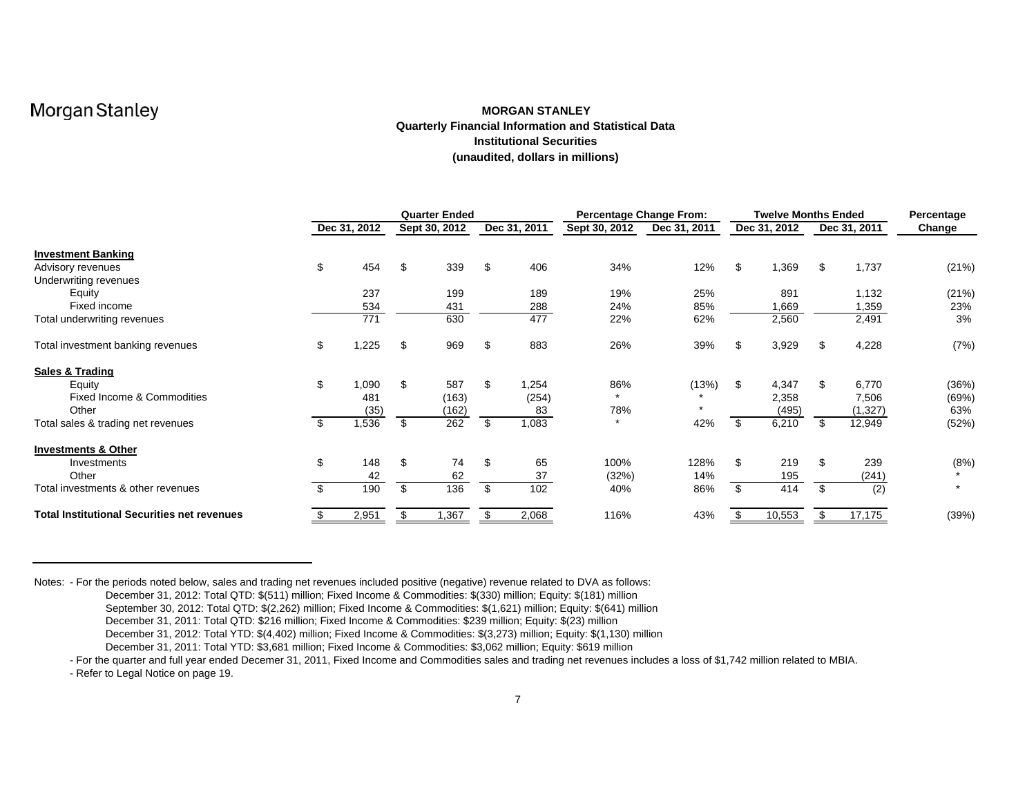### **MORGAN STANLEYQuarterly Financial Information and Statistical Data Institutional Securities(unaudited, dollars in millions)**

|                                                    |              | <b>Quarter Ended</b> |    |              | <b>Percentage Change From:</b> |              |    | Twelve Months Ended |              | Percentage |
|----------------------------------------------------|--------------|----------------------|----|--------------|--------------------------------|--------------|----|---------------------|--------------|------------|
|                                                    | Dec 31, 2012 | Sept 30, 2012        |    | Dec 31, 2011 | Sept 30, 2012                  | Dec 31, 2011 |    | Dec 31, 2012        | Dec 31, 2011 | Change     |
| <b>Investment Banking</b>                          |              |                      |    |              |                                |              |    |                     |              |            |
| Advisory revenues                                  | \$<br>454    | \$<br>339            | \$ | 406          | 34%                            | 12%          | \$ | 1,369               | \$<br>1,737  | (21%)      |
| Underwriting revenues                              |              |                      |    |              |                                |              |    |                     |              |            |
| Equity                                             | 237          | 199                  |    | 189          | 19%                            | 25%          |    | 891                 | 1,132        | (21%)      |
| Fixed income                                       | 534          | 431                  |    | 288          | 24%                            | 85%          |    | 1,669               | 1,359        | 23%        |
| Total underwriting revenues                        | 771          | 630                  |    | 477          | 22%                            | 62%          |    | 2,560               | 2,491        | 3%         |
| Total investment banking revenues                  | \$<br>,225   | \$<br>969            | \$ | 883          | 26%                            | 39%          | S  | 3,929               | \$<br>4,228  | (7%)       |
| Sales & Trading                                    |              |                      |    |              |                                |              |    |                     |              |            |
| Equity                                             | \$<br>1,090  | \$<br>587            | \$ | 1,254        | 86%                            | (13%)        | \$ | 4,347               | \$<br>6,770  | (36%)      |
| Fixed Income & Commodities                         | 481          | (163)                |    | (254)        |                                |              |    | 2,358               | 7,506        | (69%)      |
| Other                                              | (35)         | (162)                |    | 83           | 78%                            |              |    | (495)               | (1,327)      | 63%        |
| Total sales & trading net revenues                 | \$<br>,536   | \$<br>262            | \$ | 1,083        | $\star$                        | 42%          |    | 6,210               | \$<br>12,949 | (52%)      |
| <b>Investments &amp; Other</b>                     |              |                      |    |              |                                |              |    |                     |              |            |
| Investments                                        | \$<br>148    | \$<br>74             | \$ | 65           | 100%                           | 128%         | \$ | 219                 | \$<br>239    | (8%)       |
| Other                                              | 42           | 62                   |    | 37           | (32%)                          | 14%          |    | 195                 | (241)        |            |
| Total investments & other revenues                 | \$<br>190    | \$<br>136            | \$ | 102          | 40%                            | 86%          | \$ | 414                 | \$<br>(2)    |            |
| <b>Total Institutional Securities net revenues</b> | 2,951        | \$<br>1,367          | \$ | 2,068        | 116%                           | 43%          |    | 10,553              | \$<br>17,175 | (39%)      |

Notes: - For the periods noted below, sales and trading net revenues included positive (negative) revenue related to DVA as follows:

December 31, 2012: Total QTD: \$(511) million; Fixed Income & Commodities: \$(330) million; Equity: \$(181) million

September 30, 2012: Total QTD: \$(2,262) million; Fixed Income & Commodities: \$(1,621) million; Equity: \$(641) million

December 31, 2011: Total QTD: \$216 million; Fixed Income & Commodities: \$239 million; Equity: \$(23) million

December 31, 2012: Total YTD: \$(4,402) million; Fixed Income & Commodities: \$(3,273) million; Equity: \$(1,130) million

December 31, 2011: Total YTD: \$3,681 million; Fixed Income & Commodities: \$3,062 million; Equity: \$619 million

- For the quarter and full year ended Decemer 31, 2011, Fixed Income and Commodities sales and trading net revenues includes a loss of \$1,742 million related to MBIA.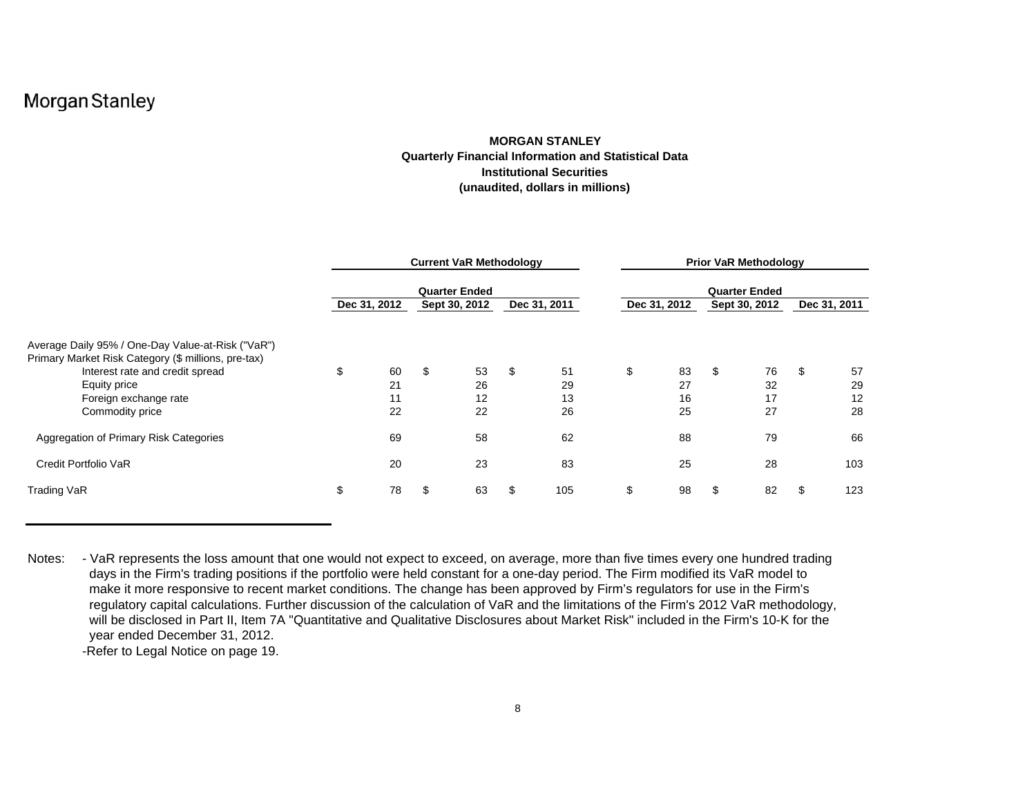### **MORGAN STANLEYQuarterly Financial Information and Statistical Data Institutional Securities(unaudited, dollars in millions)**

|                                                     |              |    | <b>Current VaR Methodology</b> |              | <b>Prior VaR Methodology</b> |              |    |                      |    |              |  |
|-----------------------------------------------------|--------------|----|--------------------------------|--------------|------------------------------|--------------|----|----------------------|----|--------------|--|
|                                                     |              |    | <b>Quarter Ended</b>           |              |                              |              |    | <b>Quarter Ended</b> |    |              |  |
|                                                     | Dec 31, 2012 |    | Sept 30, 2012                  | Dec 31, 2011 |                              | Dec 31, 2012 |    | Sept 30, 2012        |    | Dec 31, 2011 |  |
| Average Daily 95% / One-Day Value-at-Risk ("VaR")   |              |    |                                |              |                              |              |    |                      |    |              |  |
| Primary Market Risk Category (\$ millions, pre-tax) |              |    |                                |              |                              |              |    |                      |    |              |  |
| Interest rate and credit spread                     | \$<br>60     | \$ | 53                             | \$<br>51     | \$                           | 83           | \$ | 76                   | \$ | 57           |  |
| Equity price                                        | 21           |    | 26                             | 29           |                              | 27           |    | 32                   |    | 29           |  |
| Foreign exchange rate                               | 11           |    | 12                             | 13           |                              | 16           |    | 17                   |    | 12           |  |
| Commodity price                                     | 22           |    | 22                             | 26           |                              | 25           |    | 27                   |    | 28           |  |
| Aggregation of Primary Risk Categories              | 69           |    | 58                             | 62           |                              | 88           |    | 79                   |    | 66           |  |
| Credit Portfolio VaR                                | 20           |    | 23                             | 83           |                              | 25           |    | 28                   |    | 103          |  |
| Trading VaR                                         | \$<br>78     | S. | 63                             | 105          | \$                           | 98           | S  | 82                   | J. | 123          |  |

Notes: - VaR represents the loss amount that one would not expect to exceed, on average, more than five times every one hundred trading days in the Firm's trading positions if the portfolio were held constant for a one-day period. The Firm modified its VaR model to make it more responsive to recent market conditions. The change has been approved by Firm's regulators for use in the Firm's regulatory capital calculations. Further discussion of the calculation of VaR and the limitations of the Firm's 2012 VaR methodology, will be disclosed in Part II, Item 7A "Quantitative and Qualitative Disclosures about Market Risk" included in the Firm's 10-K for the year ended December 31, 2012.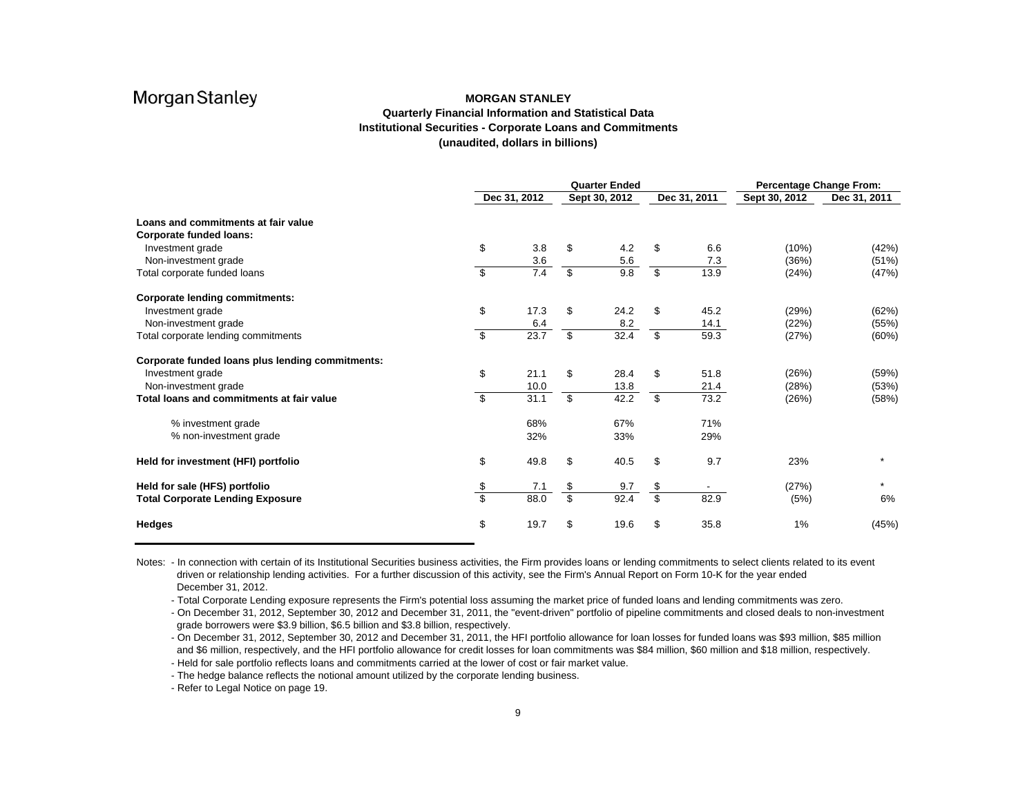### **MORGAN STANLEYQuarterly Financial Information and Statistical Data Institutional Securities - Corporate Loans and Commitments (unaudited, dollars in billions)**

|                                                  | <b>Quarter Ended</b><br>Dec 31, 2012<br>Dec 31, 2011<br>Sept 30, 2012 |      |               |      |                         |      |               | <b>Percentage Change From:</b> |  |
|--------------------------------------------------|-----------------------------------------------------------------------|------|---------------|------|-------------------------|------|---------------|--------------------------------|--|
|                                                  |                                                                       |      |               |      |                         |      | Sept 30, 2012 | Dec 31, 2011                   |  |
| Loans and commitments at fair value              |                                                                       |      |               |      |                         |      |               |                                |  |
| <b>Corporate funded loans:</b>                   |                                                                       |      |               |      |                         |      |               |                                |  |
| Investment grade                                 | \$                                                                    | 3.8  | \$            | 4.2  |                         | 6.6  | (10%)         | (42%)                          |  |
| Non-investment grade                             |                                                                       | 3.6  |               | 5.6  |                         | 7.3  | (36%)         | (51%)                          |  |
| Total corporate funded loans                     | \$                                                                    | 7.4  | \$            | 9.8  | \$                      | 13.9 | (24%)         | (47%)                          |  |
| <b>Corporate lending commitments:</b>            |                                                                       |      |               |      |                         |      |               |                                |  |
| Investment grade                                 | \$                                                                    | 17.3 | \$            | 24.2 | \$                      | 45.2 | (29%)         | (62%)                          |  |
| Non-investment grade                             |                                                                       | 6.4  |               | 8.2  |                         | 14.1 | (22%)         | (55%)                          |  |
| Total corporate lending commitments              | \$                                                                    | 23.7 | \$            | 32.4 | \$                      | 59.3 | (27%)         | (60%)                          |  |
| Corporate funded loans plus lending commitments: |                                                                       |      |               |      |                         |      |               |                                |  |
| Investment grade                                 | \$                                                                    | 21.1 | \$            | 28.4 | \$                      | 51.8 | (26%)         | (59%)                          |  |
| Non-investment grade                             |                                                                       | 10.0 |               | 13.8 |                         | 21.4 | (28%)         | (53%)                          |  |
| Total loans and commitments at fair value        | \$                                                                    | 31.1 | \$            | 42.2 | \$                      | 73.2 | (26%)         | (58%)                          |  |
| % investment grade                               |                                                                       | 68%  |               | 67%  |                         | 71%  |               |                                |  |
| % non-investment grade                           |                                                                       | 32%  |               | 33%  |                         | 29%  |               |                                |  |
| Held for investment (HFI) portfolio              | \$                                                                    | 49.8 | \$            | 40.5 | \$                      | 9.7  | 23%           |                                |  |
| Held for sale (HFS) portfolio                    |                                                                       | 7.1  |               | 9.7  | \$                      |      | (27%)         |                                |  |
| <b>Total Corporate Lending Exposure</b>          | $\frac{1}{3}$                                                         | 88.0 | $\frac{3}{3}$ | 92.4 | $\overline{\mathbf{s}}$ | 82.9 | (5%)          | 6%                             |  |
| <b>Hedges</b>                                    | \$                                                                    | 19.7 | \$            | 19.6 | \$                      | 35.8 | 1%            | (45%)                          |  |

Notes: - In connection with certain of its Institutional Securities business activities, the Firm provides loans or lending commitments to select clients related to its event driven or relationship lending activities. For a further discussion of this activity, see the Firm's Annual Report on Form 10-K for the year ended December 31, 2012.

- Total Corporate Lending exposure represents the Firm's potential loss assuming the market price of funded loans and lending commitments was zero.

- On December 31, 2012, September 30, 2012 and December 31, 2011, the "event-driven" portfolio of pipeline commitments and closed deals to non-investment grade borrowers were \$3.9 billion, \$6.5 billion and \$3.8 billion, respectively.

- On December 31, 2012, September 30, 2012 and December 31, 2011, the HFI portfolio allowance for loan losses for funded loans was \$93 million, \$85 million and \$6 million, respectively, and the HFI portfolio allowance for credit losses for loan commitments was \$84 million, \$60 million and \$18 million, respectively. - Held for sale portfolio reflects loans and commitments carried at the lower of cost or fair market value.

- The hedge balance reflects the notional amount utilized by the corporate lending business.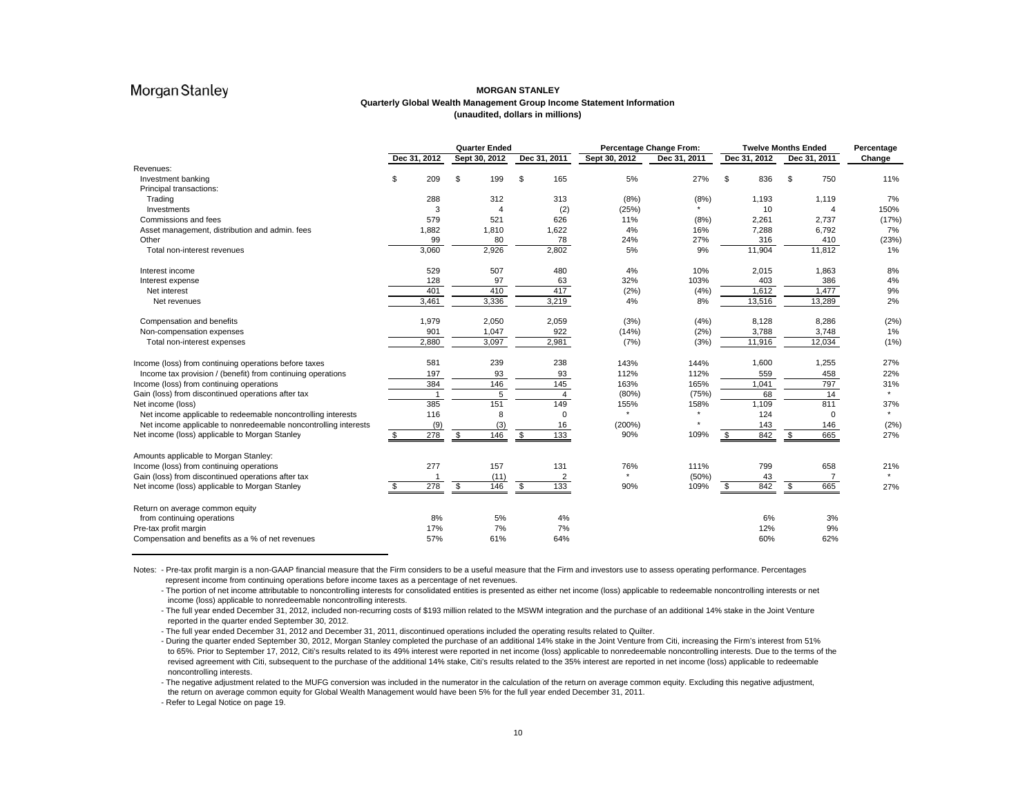### **MORGAN STANLEYQuarterly Global Wealth Management Group Income Statement Information (unaudited, dollars in millions)**

|                                                                 |     |                |                          | <b>Quarter Ended</b> |                          |                |               | Percentage Change From: | <b>Twelve Months Ended</b> |              |    |                       | Percentage |  |
|-----------------------------------------------------------------|-----|----------------|--------------------------|----------------------|--------------------------|----------------|---------------|-------------------------|----------------------------|--------------|----|-----------------------|------------|--|
|                                                                 |     | Dec 31, 2012   |                          | Sept 30, 2012        |                          | Dec 31, 2011   | Sept 30, 2012 | Dec 31, 2011            |                            | Dec 31, 2012 |    | Dec 31, 2011          | Change     |  |
| Revenues:                                                       |     |                |                          |                      |                          |                |               |                         |                            |              |    |                       |            |  |
| Investment banking                                              | \$  | 209            | \$                       | 199                  | \$                       | 165            | 5%            | 27%                     | \$                         | 836          | \$ | 750                   | 11%        |  |
| Principal transactions:                                         |     |                |                          |                      |                          |                |               |                         |                            |              |    |                       |            |  |
| Trading                                                         |     | 288            |                          | 312                  |                          | 313            | (8%)          | (8%)                    |                            | 1,193        |    | 1,119                 | 7%         |  |
| Investments                                                     |     | 3              |                          |                      |                          | (2)            | (25%)         |                         |                            | 10           |    | $\boldsymbol{\Delta}$ | 150%       |  |
| Commissions and fees                                            |     | 579            |                          | 521                  |                          | 626            | 11%           | (8%)                    |                            | 2,261        |    | 2,737                 | (17%)      |  |
| Asset management, distribution and admin. fees                  |     | 1,882          |                          | 1,810                |                          | 1,622          | 4%            | 16%                     |                            | 7,288        |    | 6,792                 | 7%         |  |
| Other                                                           |     | 99             |                          | 80                   |                          | 78             | 24%           | 27%                     |                            | 316          |    | 410                   | (23%)      |  |
| Total non-interest revenues                                     |     | 3,060          |                          | 2,926                |                          | 2,802          | 5%            | 9%                      |                            | 11,904       |    | 11,812                | 1%         |  |
| Interest income                                                 |     | 529            |                          | 507                  |                          | 480            | 4%            | 10%                     |                            | 2,015        |    | 1,863                 | 8%         |  |
| Interest expense                                                |     | 128            |                          | 97                   |                          | 63             | 32%           | 103%                    |                            | 403          |    | 386                   | 4%         |  |
| Net interest                                                    |     | 401            |                          | 410                  |                          | 417            | (2%)          | (4%)                    |                            | 1,612        |    | 1.477                 | 9%         |  |
| Net revenues                                                    |     | 3.461          |                          | 3,336                |                          | 3,219          | 4%            | 8%                      |                            | 13,516       |    | 13,289                | 2%         |  |
| Compensation and benefits                                       |     | 1,979          |                          | 2,050                |                          | 2,059          | (3%)          | (4%)                    |                            | 8,128        |    | 8,286                 | (2%)       |  |
| Non-compensation expenses                                       |     | 901            |                          | 1,047                |                          | 922            | (14%)         | (2%)                    |                            | 3,788        |    | 3,748                 | 1%         |  |
| Total non-interest expenses                                     |     | 2,880          |                          | 3,097                |                          | 2,981          | (7%)          | (3%)                    |                            | 11,916       |    | 12,034                | (1%)       |  |
| Income (loss) from continuing operations before taxes           |     | 581            |                          | 239                  |                          | 238            | 143%          | 144%                    |                            | 1,600        |    | 1,255                 | 27%        |  |
| Income tax provision / (benefit) from continuing operations     |     | 197            |                          | 93                   |                          | 93             | 112%          | 112%                    |                            | 559          |    | 458                   | 22%        |  |
| Income (loss) from continuing operations                        |     | 384            |                          | 146                  |                          | 145            | 163%          | 165%                    |                            | 1,041        |    | 797                   | 31%        |  |
| Gain (loss) from discontinued operations after tax              |     | $\overline{1}$ |                          | 5                    |                          | $\overline{4}$ | (80%)         | (75%)                   |                            | 68           |    | 14                    |            |  |
| Net income (loss)                                               |     | 385            |                          | 151                  |                          | 149            | 155%          | 158%                    |                            | 1.109        |    | 811                   | 37%        |  |
| Net income applicable to redeemable noncontrolling interests    |     | 116            |                          | 8                    |                          | $\Omega$       | $\star$       |                         |                            | 124          |    | $\Omega$              |            |  |
| Net income applicable to nonredeemable noncontrolling interests |     | (9)            |                          | (3)                  |                          | 16             | (200%)        |                         |                            | 143          |    | 146                   | (2%)       |  |
| Net income (loss) applicable to Morgan Stanley                  | \$  | 278            | \$                       | 146                  | \$                       | 133            | 90%           | 109%                    | \$                         | 842          | \$ | 665                   | 27%        |  |
| Amounts applicable to Morgan Stanley:                           |     |                |                          |                      |                          |                |               |                         |                            |              |    |                       |            |  |
| Income (loss) from continuing operations                        |     | 277            |                          | 157                  |                          | 131            | 76%           | 111%                    |                            | 799          |    | 658                   | 21%        |  |
| Gain (loss) from discontinued operations after tax              |     |                |                          | (11)                 |                          | $\overline{2}$ | $\star$       | (50%)                   |                            | 43           |    |                       |            |  |
| Net income (loss) applicable to Morgan Stanley                  | \$. | 278            | $\overline{\mathcal{S}}$ | 146                  | $\overline{\mathcal{S}}$ | 133            | 90%           | 109%                    | \$                         | 842          | \$ | 665                   | 27%        |  |
| Return on average common equity                                 |     |                |                          |                      |                          |                |               |                         |                            |              |    |                       |            |  |
| from continuing operations                                      |     | 8%             |                          | 5%                   |                          | 4%             |               |                         |                            | 6%           |    | 3%                    |            |  |
| Pre-tax profit margin                                           |     | 17%            |                          | 7%                   |                          | 7%             |               |                         |                            | 12%          |    | 9%                    |            |  |
| Compensation and benefits as a % of net revenues                |     | 57%            |                          | 61%                  |                          | 64%            |               |                         |                            | 60%          |    | 62%                   |            |  |

Notes: - Pre-tax profit margin is a non-GAAP financial measure that the Firm considers to be a useful measure that the Firm and investors use to assess operating performance. Percentages represent income from continuing operations before income taxes as a percentage of net revenues.

- The portion of net income attributable to noncontrolling interests for consolidated entities is presented as either net income (loss) applicable to redeemable noncontrolling interests or net income (loss) applicable to nonredeemable noncontrolling interests.

- The full year ended December 31, 2012, included non-recurring costs of \$193 million related to the MSWM integration and the purchase of an additional 14% stake in the Joint Venture reported in the quarter ended September 30, 2012.

- The full year ended December 31, 2012 and December 31, 2011, discontinued operations included the operating results related to Quilter.

- During the quarter ended September 30, 2012, Morgan Stanley completed the purchase of an additional 14% stake in the Joint Venture from Citi, increasing the Firm's interest from 51% to 65%. Prior to September 17, 2012, Citi's results related to its 49% interest were reported in net income (loss) applicable to nonredeemable noncontrolling interests. Due to the terms of the revised agreement with Citi, subsequent to the purchase of the additional 14% stake, Citi's results related to the 35% interest are reported in net income (loss) applicable to redeemable noncontrolling interests.

- The negative adjustment related to the MUFG conversion was included in the numerator in the calculation of the return on average common equity. Excluding this negative adjustment, the return on average common equity for Global Wealth Management would have been 5% for the full year ended December 31, 2011.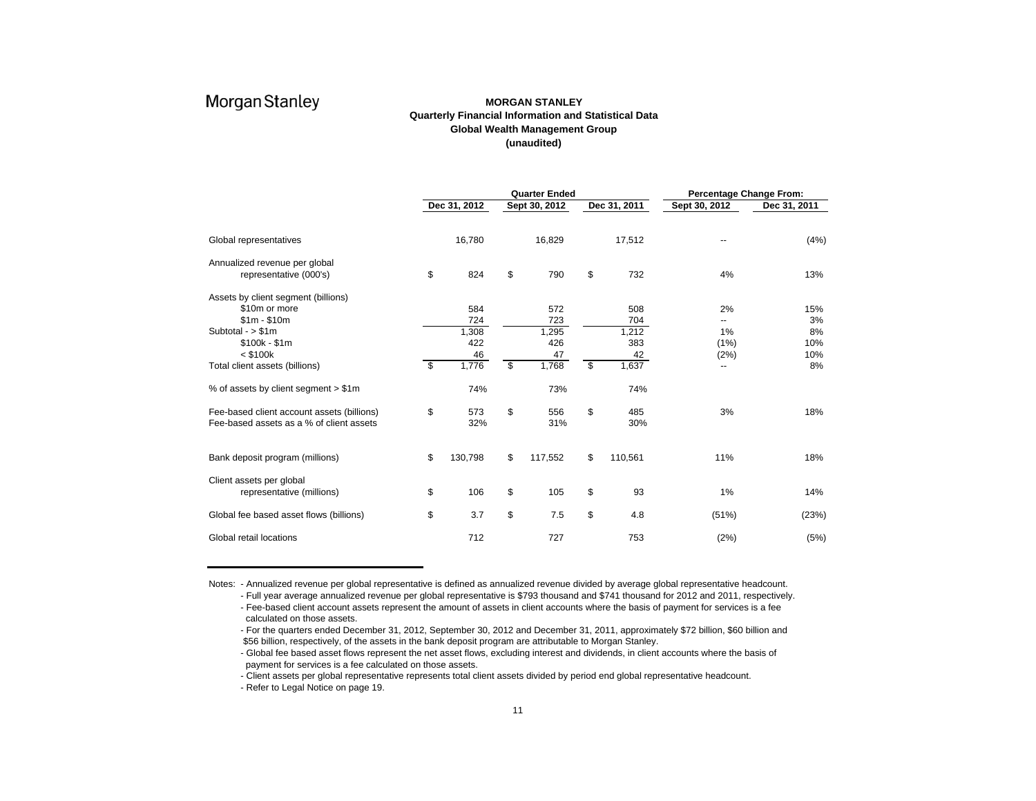### **MORGAN STANLEYQuarterly Financial Information and Statistical Data Global Wealth Management Group (unaudited)**

|                                            |               | <b>Quarter Ended</b> |    | Percentage Change From: |               |              |  |  |
|--------------------------------------------|---------------|----------------------|----|-------------------------|---------------|--------------|--|--|
|                                            | Dec 31, 2012  | Sept 30, 2012        |    | Dec 31, 2011            | Sept 30, 2012 | Dec 31, 2011 |  |  |
| Global representatives                     | 16,780        | 16,829               |    | 17,512                  |               | (4%)         |  |  |
| Annualized revenue per global              |               |                      |    |                         |               |              |  |  |
| representative (000's)                     | \$<br>824     | \$<br>790            | \$ | 732                     | 4%            | 13%          |  |  |
| Assets by client segment (billions)        |               |                      |    |                         |               |              |  |  |
| \$10m or more                              | 584           | 572                  |    | 508                     | 2%            | 15%          |  |  |
| $$1m - $10m$                               | 724           | 723                  |    | 704                     | --            | 3%           |  |  |
| Subtotal - $> $1m$                         | 1,308         | 1,295                |    | 1,212                   | 1%            | 8%           |  |  |
| \$100k - \$1m                              | 422           | 426                  |    | 383                     | (1%)          | 10%          |  |  |
| $<$ \$100 $k$                              | 46            | 47                   |    | 42                      | (2%)          | 10%          |  |  |
| Total client assets (billions)             | \$<br>1,776   | \$<br>1,768          | \$ | 1,637                   | ۰.            | 8%           |  |  |
| % of assets by client segment > \$1m       | 74%           | 73%                  |    | 74%                     |               |              |  |  |
| Fee-based client account assets (billions) | \$<br>573     | \$<br>556            | \$ | 485                     | 3%            | 18%          |  |  |
| Fee-based assets as a % of client assets   | 32%           | 31%                  |    | 30%                     |               |              |  |  |
| Bank deposit program (millions)            | \$<br>130,798 | \$<br>117,552        | \$ | 110,561                 | 11%           | 18%          |  |  |
| Client assets per global                   |               |                      |    |                         |               |              |  |  |
| representative (millions)                  | \$<br>106     | \$<br>105            | \$ | 93                      | 1%            | 14%          |  |  |
| Global fee based asset flows (billions)    | \$<br>3.7     | \$<br>7.5            | \$ | 4.8                     | (51%)         | (23%)        |  |  |
| Global retail locations                    | 712           | 727                  |    | 753                     | (2%)          | (5%)         |  |  |

Notes: - Annualized revenue per global representative is defined as annualized revenue divided by average global representative headcount.

- Full year average annualized revenue per global representative is \$793 thousand and \$741 thousand for 2012 and 2011, respectively. - Fee-based client account assets represent the amount of assets in client accounts where the basis of payment for services is a fee calculated on those assets.

- For the quarters ended December 31, 2012, September 30, 2012 and December 31, 2011, approximately \$72 billion, \$60 billion and \$56 billion, respectively, of the assets in the bank deposit program are attributable to Morgan Stanley.

- Global fee based asset flows represent the net asset flows, excluding interest and dividends, in client accounts where the basis of payment for services is a fee calculated on those assets.

- Client assets per global representative represents total client assets divided by period end global representative headcount.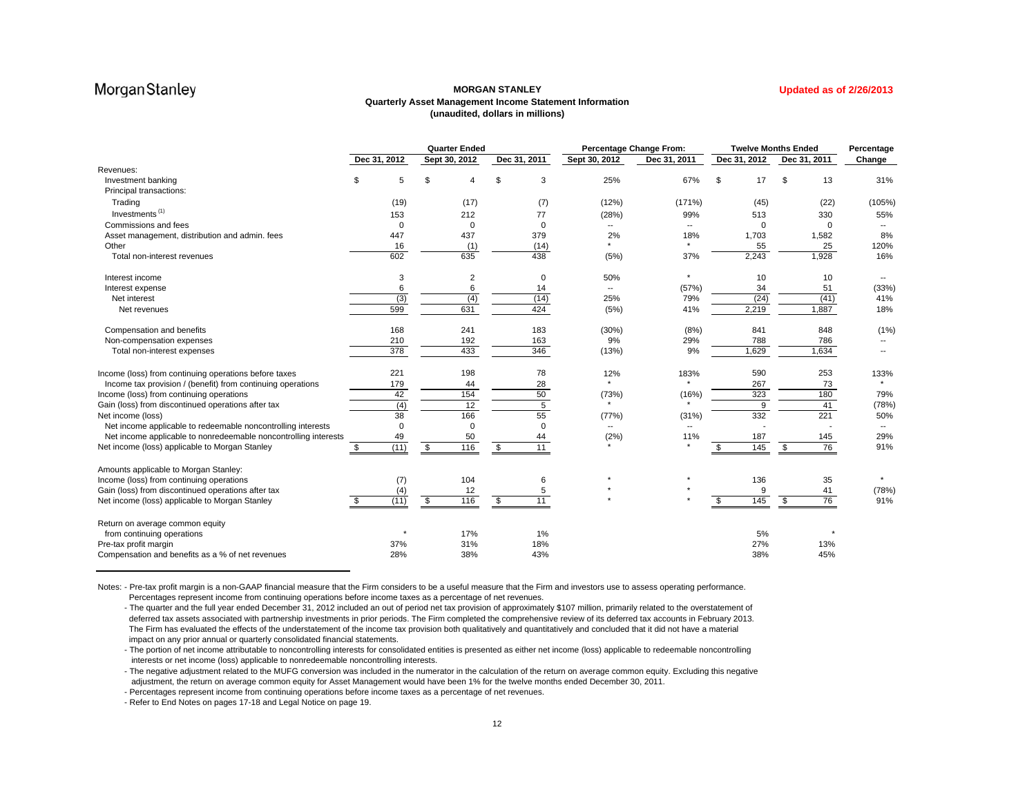### **MORGAN STANLEYQuarterly Asset Management Income Statement Information (unaudited, dollars in millions)**

|  | <b>Updated as of 2/26/2013</b> |  |  |  |  |  |
|--|--------------------------------|--|--|--|--|--|
|  |                                |  |  |  |  |  |

|                                                                 |              |             |     | <b>Quarter Ended</b> |                | <b>Percentage Change From:</b> |              |              | <b>Twelve Months Ended</b> |    |              | Percentage               |
|-----------------------------------------------------------------|--------------|-------------|-----|----------------------|----------------|--------------------------------|--------------|--------------|----------------------------|----|--------------|--------------------------|
|                                                                 | Dec 31, 2012 |             |     | Sept 30, 2012        | Dec 31, 2011   | Sept 30, 2012                  | Dec 31, 2011 | Dec 31, 2012 |                            |    | Dec 31, 2011 | Change                   |
| Revenues:                                                       |              |             |     |                      |                |                                |              |              |                            |    |              |                          |
| Investment banking                                              | \$           | 5           | \$. | 4                    | \$<br>3        | 25%                            | 67%          | \$           | 17                         | \$ | 13           | 31%                      |
| Principal transactions:                                         |              |             |     |                      |                |                                |              |              |                            |    |              |                          |
| Trading                                                         |              | (19)        |     | (17)                 | (7)            | (12%)                          | (171%)       |              | (45)                       |    | (22)         | (105%)                   |
| Investments <sup>(1)</sup>                                      |              | 153         |     | 212                  | 77             | (28%)                          | 99%          |              | 513                        |    | 330          | 55%                      |
| Commissions and fees                                            |              | $\mathbf 0$ |     | 0                    | $\Omega$       | $-$                            | --           |              | $\Omega$                   |    | $\Omega$     |                          |
| Asset management, distribution and admin. fees                  |              | 447         |     | 437                  | 379            | 2%                             | 18%          |              | 1,703                      |    | 1,582        | 8%                       |
| Other                                                           |              | 16          |     | (1)                  | (14)           |                                | $\star$      |              | 55                         |    | 25           | 120%                     |
| Total non-interest revenues                                     |              | 602         |     | 635                  | 438            | (5%)                           | 37%          |              | 2,243                      |    | 1.928        | 16%                      |
| Interest income                                                 |              | 3           |     | 2                    | $\mathbf 0$    | 50%                            | $\star$      |              | 10                         |    | 10           | $\overline{\phantom{a}}$ |
| Interest expense                                                |              | 6           |     | 6                    | 14             | $\overline{\phantom{a}}$       | (57%)        |              | 34                         |    | 51           | (33%)                    |
| Net interest                                                    |              | (3)         |     | (4)                  | (14)           | 25%                            | 79%          |              | (24)                       |    | (41)         | 41%                      |
| Net revenues                                                    |              | 599         |     | 631                  | 424            | (5%)                           | 41%          |              | 2,219                      |    | 1,887        | 18%                      |
| Compensation and benefits                                       |              | 168         |     | 241                  | 183            | (30%)                          | (8%)         |              | 841                        |    | 848          | (1% )                    |
| Non-compensation expenses                                       |              | 210         |     | 192                  | 163            | 9%                             | 29%          |              | 788                        |    | 786          |                          |
| Total non-interest expenses                                     |              | 378         |     | 433                  | 346            | (13%)                          | 9%           |              | 1,629                      |    | 1,634        |                          |
| Income (loss) from continuing operations before taxes           |              | 221         |     | 198                  | 78             | 12%                            | 183%         |              | 590                        |    | 253          | 133%                     |
| Income tax provision / (benefit) from continuing operations     |              | 179         |     | 44                   | 28             |                                |              |              | 267                        |    | 73           |                          |
| Income (loss) from continuing operations                        |              | 42          |     | 154                  | 50             | (73%)                          | (16%)        |              | 323                        |    | 180          | 79%                      |
| Gain (loss) from discontinued operations after tax              |              | (4)         |     | 12                   | $\overline{5}$ |                                |              |              | 9                          |    | 41           | (78%)                    |
| Net income (loss)                                               |              | 38          |     | 166                  | 55             | (77%)                          | (31%)        |              | 332                        |    | 221          | 50%                      |
| Net income applicable to redeemable noncontrolling interests    |              |             |     | $\mathbf 0$          | $\Omega$       |                                | ۰.           |              |                            |    |              |                          |
| Net income applicable to nonredeemable noncontrolling interests |              | 49          |     | 50                   | 44             | (2%)                           | 11%          |              | 187                        |    | 145          | 29%                      |
| Net income (loss) applicable to Morgan Stanley                  |              | (11)        | S   | 116                  | \$<br>11       |                                |              |              | 145                        | Ŝ. | 76           | 91%                      |
| Amounts applicable to Morgan Stanley:                           |              |             |     |                      |                |                                |              |              |                            |    |              |                          |
| Income (loss) from continuing operations                        |              | (7)         |     | 104                  | 6              |                                |              |              | 136                        |    | 35           |                          |
| Gain (loss) from discontinued operations after tax              |              | (4)         |     | 12                   | 5              |                                |              |              | 9                          |    | 41           | (78%)                    |
| Net income (loss) applicable to Morgan Stanley                  | \$.          | (11)        | \$  | 116                  | \$<br>11       |                                |              | \$           | $\frac{145}{2}$            | \$ | 76           | 91%                      |
| Return on average common equity                                 |              |             |     |                      |                |                                |              |              |                            |    |              |                          |
| from continuing operations                                      |              |             |     | 17%                  | 1%             |                                |              |              | 5%                         |    |              |                          |
| Pre-tax profit margin                                           |              | 37%         |     | 31%                  | 18%            |                                |              |              | 27%                        |    | 13%          |                          |
| Compensation and benefits as a % of net revenues                |              | 28%         |     | 38%                  | 43%            |                                |              |              | 38%                        |    | 45%          |                          |

Notes: - Pre-tax profit margin is a non-GAAP financial measure that the Firm considers to be a useful measure that the Firm and investors use to assess operating performance. Percentages represent income from continuing operations before income taxes as a percentage of net revenues.

- The quarter and the full year ended December 31, 2012 included an out of period net tax provision of approximately \$107 million, primarily related to the overstatement of deferred tax assets associated with partnership investments in prior periods. The Firm completed the comprehensive review of its deferred tax accounts in February 2013. The Firm has evaluated the effects of the understatement of the income tax provision both qualitatively and quantitatively and concluded that it did not have a material impact on any prior annual or quarterly consolidated financial statements.

- The portion of net income attributable to noncontrolling interests for consolidated entities is presented as either net income (loss) applicable to redeemable noncontrolling interests or net income (loss) applicable to nonredeemable noncontrolling interests.

- The negative adjustment related to the MUFG conversion was included in the numerator in the calculation of the return on average common equity. Excluding this negative adjustment, the return on average common equity for Asset Management would have been 1% for the twelve months ended December 30, 2011.

- Percentages represent income from continuing operations before income taxes as a percentage of net revenues.

- Refer to End Notes on pages 17-18 and Legal Notice on page 19.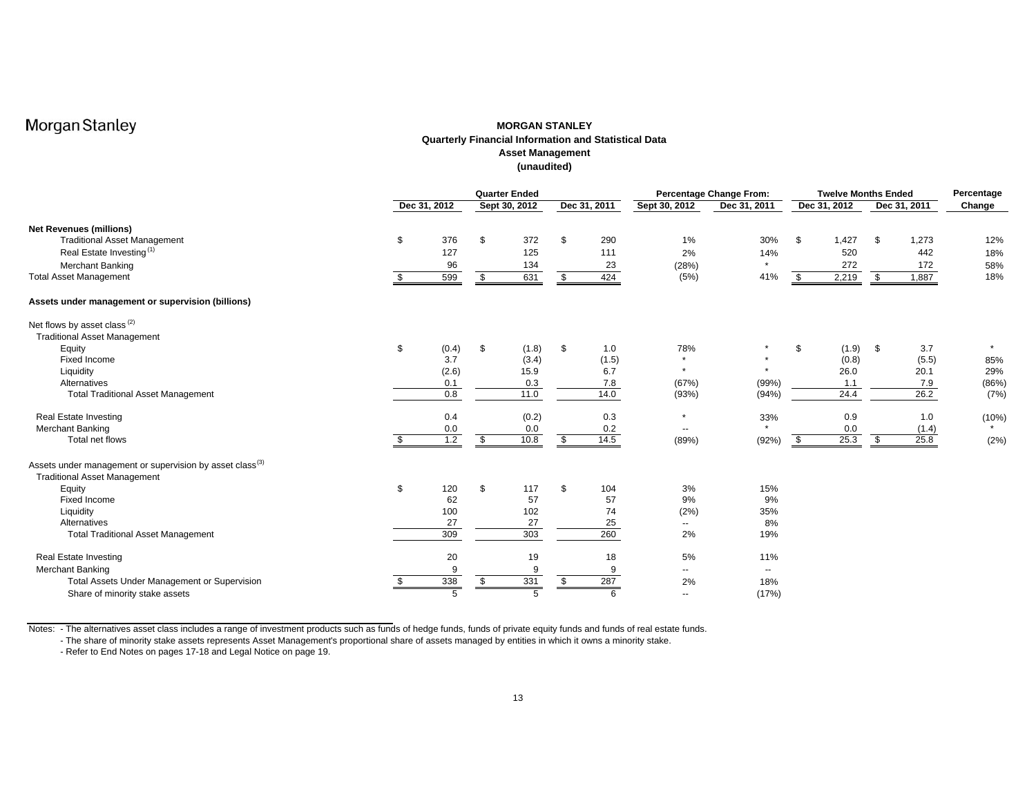### **MORGAN STANLEYQuarterly Financial Information and Statistical Data Asset Management (unaudited)**

|                                                                                                             |     |              |      | <b>Quarter Ended</b> |              | <b>Percentage Change From:</b> | <b>Twelve Months Ended</b> |    |              |    | Percentage   |         |
|-------------------------------------------------------------------------------------------------------------|-----|--------------|------|----------------------|--------------|--------------------------------|----------------------------|----|--------------|----|--------------|---------|
|                                                                                                             |     | Dec 31, 2012 |      | Sept 30, 2012        | Dec 31, 2011 | Sept 30, 2012                  | Dec 31, 2011               |    | Dec 31, 2012 |    | Dec 31, 2011 | Change  |
| <b>Net Revenues (millions)</b>                                                                              |     |              |      |                      |              |                                |                            |    |              |    |              |         |
| <b>Traditional Asset Management</b>                                                                         | \$  | 376          | \$   | 372                  | \$<br>290    | 1%                             | 30%                        | \$ | 1,427        | \$ | 1,273        | 12%     |
| Real Estate Investing <sup>(1)</sup>                                                                        |     | 127          |      | 125                  | 111          | 2%                             | 14%                        |    | 520          |    | 442          | 18%     |
| <b>Merchant Banking</b>                                                                                     |     | 96           |      | 134                  | 23           | (28%)                          | $\star$                    |    | 272          |    | 172          | 58%     |
| <b>Total Asset Management</b>                                                                               |     | 599          | \$   | 631                  | \$<br>424    | (5%)                           | 41%                        | \$ | 2,219        | \$ | 1,887        | 18%     |
| Assets under management or supervision (billions)                                                           |     |              |      |                      |              |                                |                            |    |              |    |              |         |
| Net flows by asset class <sup>(2)</sup>                                                                     |     |              |      |                      |              |                                |                            |    |              |    |              |         |
| <b>Traditional Asset Management</b>                                                                         |     |              |      |                      |              |                                |                            |    |              |    |              |         |
| Equity                                                                                                      | \$  | (0.4)        | \$   | (1.8)                | \$<br>1.0    | 78%                            |                            | \$ | (1.9)        | \$ | 3.7          | $\star$ |
| Fixed Income                                                                                                |     | 3.7          |      | (3.4)                | (1.5)        |                                |                            |    | (0.8)        |    | (5.5)        | 85%     |
| Liquidity                                                                                                   |     | (2.6)        |      | 15.9                 | 6.7          |                                | $\star$                    |    | 26.0         |    | 20.1         | 29%     |
| Alternatives                                                                                                |     | 0.1          |      | 0.3                  | 7.8          | (67%)                          | (99%                       |    | 1.1          |    | 7.9          | (86%)   |
| <b>Total Traditional Asset Management</b>                                                                   |     | 0.8          |      | 11.0                 | 14.0         | (93%)                          | (94%                       |    | 24.4         |    | 26.2         | (7%)    |
| <b>Real Estate Investing</b>                                                                                |     | 0.4          |      | (0.2)                | 0.3          | $\star$                        | 33%                        |    | 0.9          |    | 1.0          | (10%)   |
| <b>Merchant Banking</b>                                                                                     |     | 0.0          |      | 0.0                  | 0.2          | $\overline{\phantom{a}}$       |                            |    | 0.0          |    | (1.4)        |         |
| Total net flows                                                                                             |     | 1.2          | \$   | 10.8                 | \$<br>14.5   | (89%)                          | (92%)                      | \$ | 25.3         | \$ | 25.8         | (2%)    |
| Assets under management or supervision by asset class <sup>(3)</sup><br><b>Traditional Asset Management</b> |     |              |      |                      |              |                                |                            |    |              |    |              |         |
| Equity                                                                                                      | \$  | 120          | \$   | 117                  | \$<br>104    | 3%                             | 15%                        |    |              |    |              |         |
| Fixed Income                                                                                                |     | 62           |      | 57                   | 57           | 9%                             | 9%                         |    |              |    |              |         |
| Liquidity                                                                                                   |     | 100          |      | 102                  | 74           | (2%)                           | 35%                        |    |              |    |              |         |
| Alternatives                                                                                                |     | 27           |      | 27                   | 25           | $\sim$                         | 8%                         |    |              |    |              |         |
| <b>Total Traditional Asset Management</b>                                                                   |     | 309          |      | 303                  | 260          | 2%                             | 19%                        |    |              |    |              |         |
| <b>Real Estate Investing</b>                                                                                |     | 20           |      | 19                   | 18           | 5%                             | 11%                        |    |              |    |              |         |
| Merchant Banking                                                                                            |     | 9            |      | 9                    | 9            | $\sim$                         | $\overline{\phantom{a}}$   |    |              |    |              |         |
| Total Assets Under Management or Supervision                                                                | \$. | 338          | - \$ | 331                  | \$<br>287    | 2%                             | 18%                        |    |              |    |              |         |
| Share of minority stake assets                                                                              |     | 5            |      | 5                    |              | $\overline{\phantom{a}}$       | (17%)                      |    |              |    |              |         |

Notes: - The alternatives asset class includes a range of investment products such as funds of hedge funds, funds of private equity funds and funds of real estate funds. - The share of minority stake assets represents Asset Management's proportional share of assets managed by entities in which it owns a minority stake.

- Refer to End Notes on pages 17-18 and Legal Notice on page 19.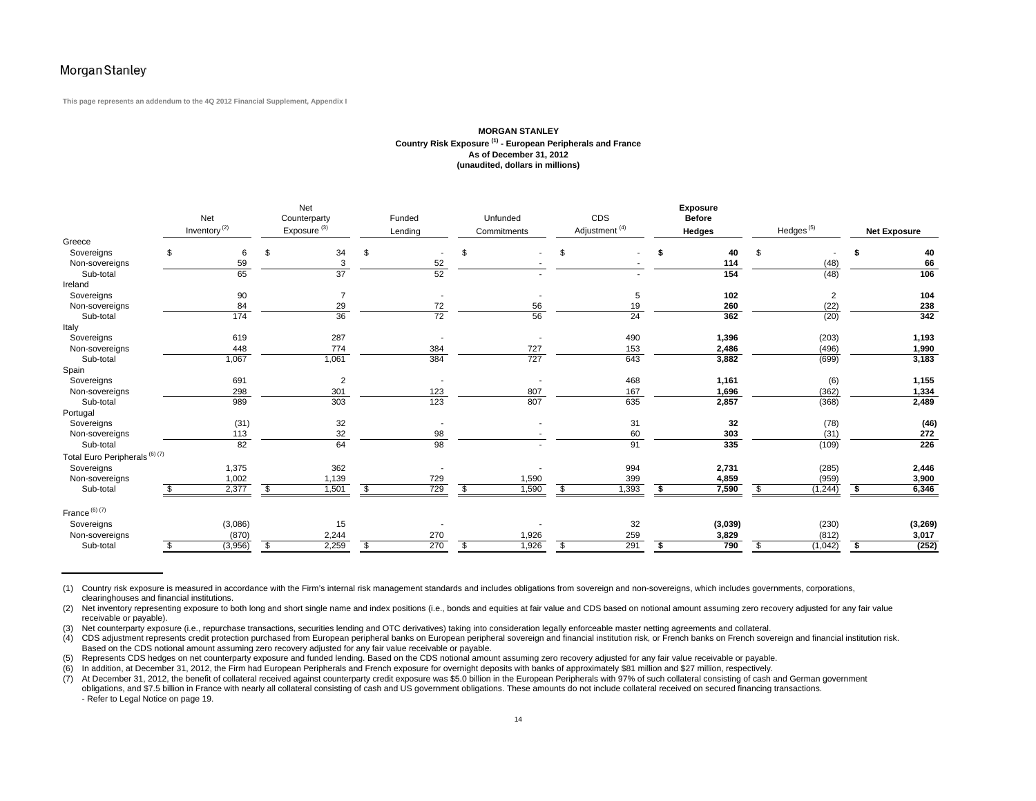**This page represents an addendum to the 4Q 2012 Financial Supplement, Appendix I**

### **MORGAN STANLEYCountry Risk Exposure (1) - European Peripherals and France As of December 31, 2012 (unaudited, dollars in millions)**

|                                |    | Net<br>Inventory <sup>(2)</sup> |    | Net<br>Counterparty<br>Exposure <sup>(3)</sup> | Funded<br>Lending        | Unfunded<br>Commitments | CDS<br>Adjustment <sup>(4)</sup> |    | <b>Exposure</b><br><b>Before</b><br><b>Hedges</b> |                 | $H$ edges $(5)$ | Net Exposure |
|--------------------------------|----|---------------------------------|----|------------------------------------------------|--------------------------|-------------------------|----------------------------------|----|---------------------------------------------------|-----------------|-----------------|--------------|
| Greece                         |    |                                 |    |                                                |                          |                         |                                  |    |                                                   |                 |                 |              |
| Sovereigns                     | \$ | 6                               | \$ | 34                                             | \$                       |                         | \$                               | S  | 40                                                | \$              |                 | 40           |
| Non-sovereigns                 |    | 59                              |    | 3                                              | 52                       |                         |                                  |    | 114                                               |                 | (48)            | 66           |
| Sub-total                      |    | 65                              |    | $\overline{37}$                                | 52                       |                         |                                  |    | 154                                               |                 | (48)            | 106          |
| Ireland                        |    |                                 |    |                                                |                          |                         |                                  |    |                                                   |                 |                 |              |
| Sovereigns                     |    | 90                              |    | 7                                              | $\overline{\phantom{a}}$ |                         | 5                                |    | 102                                               |                 | 2               | 104          |
| Non-sovereigns                 |    | 84                              |    | 29                                             | 72                       | 56                      | 19                               |    | 260                                               |                 | (22)            | 238          |
| Sub-total                      |    | 174                             |    | 36                                             | 72                       | 56                      | 24                               |    | 362                                               |                 | (20)            | 342          |
| Italy                          |    |                                 |    |                                                |                          |                         |                                  |    |                                                   |                 |                 |              |
| Sovereigns                     |    | 619                             |    | 287                                            |                          |                         | 490                              |    | 1,396                                             |                 | (203)           | 1,193        |
| Non-sovereigns                 |    | 448                             |    | 774                                            | 384                      | 727                     | 153                              |    | 2,486                                             |                 | (496)           | 1,990        |
| Sub-total                      |    | 1,067                           |    | 1,061                                          | 384                      | 727                     | 643                              |    | 3,882                                             |                 | (699)           | 3,183        |
| Spain                          |    |                                 |    |                                                |                          |                         |                                  |    |                                                   |                 |                 |              |
| Sovereigns                     |    | 691                             |    | $\overline{\mathbf{c}}$                        | $\overline{\phantom{a}}$ |                         | 468                              |    | 1,161                                             |                 | (6)             | 1,155        |
| Non-sovereigns                 |    | 298                             |    | 301                                            | 123                      | 807                     | 167                              |    | 1,696                                             |                 | (362)           | 1,334        |
| Sub-total                      |    | 989                             |    | 303                                            | 123                      | 807                     | 635                              |    | 2,857                                             |                 | (368)           | 2,489        |
| Portugal                       |    |                                 |    |                                                |                          |                         |                                  |    |                                                   |                 |                 |              |
| Sovereigns                     |    | (31)                            |    | 32                                             | $\overline{\phantom{a}}$ |                         | 31                               |    | 32                                                |                 | (78)            | (46)         |
| Non-sovereigns                 |    | 113                             |    | 32                                             | 98                       |                         | 60                               |    | 303                                               |                 | (31)            | 272          |
| Sub-total                      |    | 82                              |    | 64                                             | 98                       |                         | 91                               |    | 335                                               |                 | (109)           | 226          |
| Total Euro Peripherals (6) (7) |    |                                 |    |                                                |                          |                         |                                  |    |                                                   |                 |                 |              |
| Sovereigns                     |    | 1,375                           |    | 362                                            |                          |                         | 994                              |    | 2,731                                             |                 | (285)           | 2,446        |
| Non-sovereigns                 |    | 1,002                           |    | 1,139                                          | 729                      | 1,590                   | 399                              |    | 4,859                                             |                 | (959)           | 3,900        |
| Sub-total                      | S. | 2,377                           | \$ | 1,501                                          | \$<br>$\frac{729}{2}$    | \$<br>1,590             | \$<br>1,393                      | \$ | 7,590                                             | $\overline{\$}$ | (1, 244)        | \$<br>6,346  |
| France $(6)$ $(7)$             |    |                                 |    |                                                |                          |                         |                                  |    |                                                   |                 |                 |              |
| Sovereigns                     |    | (3,086)                         |    | 15                                             |                          |                         | 32                               |    | (3,039)                                           |                 | (230)           | (3, 269)     |
| Non-sovereigns                 |    | (870)                           |    | 2,244                                          | 270                      | 1,926                   | 259                              |    | 3,829                                             |                 | (812)           | 3,017        |
| Sub-total                      | \$ | (3,956)                         | S. | 2,259                                          | \$<br>270                | \$<br>1,926             | \$<br>291                        | \$ | 790                                               | \$              | (1,042)         | \$<br>(252)  |

(1) Country risk exposure is measured in accordance with the Firm's internal risk management standards and includes obligations from sovereign and non-sovereigns, which includes governments, corporations, clearinghouses and financial institutions.

(2) Net inventory representing exposure to both long and short single name and index positions (i.e., bonds and equities at fair value and CDS based on notional amount assuming zero recovery adjusted for any fair value receivable or payable).

(3) Net counterparty exposure (i.e., repurchase transactions, securities lending and OTC derivatives) taking into consideration legally enforceable master netting agreements and collateral.<br>(4) CDS adjustment represents cr

(4) CDS adjustment represents credit protection purchased from European peripheral banks on European peripheral sovereign and financial institution risk, or French banks on French sovereign and financial institution risk. Based on the CDS notional amount assuming zero recovery adjusted for any fair value receivable or payable.

(5) Represents CDS hedges on net counterparty exposure and funded lending. Based on the CDS notional amount assuming zero recovery adjusted for any fair value receivable or payable.

(6) In addition, at December 31, 2012, the Firm had European Peripherals and French exposure for overnight deposits with banks of approximately \$81 million and \$27 million, respectively.<br>(7) At December 31, 2012, the benef At December 31, 2012, the benefit of collateral received against counterparty credit exposure was \$5.0 billion in the European Peripherals with 97% of such collateral consisting of cash and German government obligations, and \$7.5 billion in France with nearly all collateral consisting of cash and US government obligations. These amounts do not include collateral received on secured financing transactions. - Refer to Legal Notice on page 19.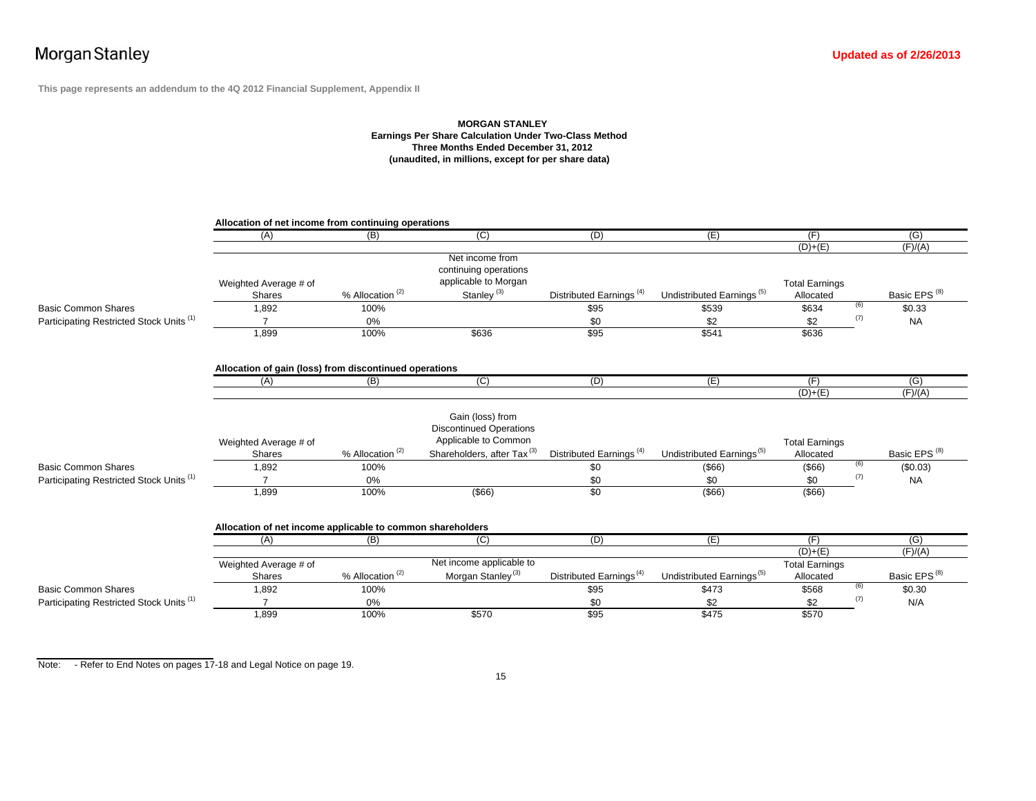**This page represents an addendum to the 4Q 2012 Financial Supplement, Appendix II**

### **MORGAN STANLEY Earnings Per Share Calculation Under Two-Class Method Three Months Ended December 31, 2012 (unaudited, in millions, except for per share data)**

|                                          | Allocation of net income from continuing operations        |                                       |                                                                                                                      |                                     |                                       |                                    |     |                          |
|------------------------------------------|------------------------------------------------------------|---------------------------------------|----------------------------------------------------------------------------------------------------------------------|-------------------------------------|---------------------------------------|------------------------------------|-----|--------------------------|
|                                          | (A)                                                        | (B)                                   | $\overline{C}$                                                                                                       | (D)                                 | (E)                                   | (F)                                |     | (G)                      |
|                                          |                                                            |                                       |                                                                                                                      |                                     |                                       | $(D)+(E)$                          |     | (F)/(A)                  |
|                                          |                                                            |                                       | Net income from                                                                                                      |                                     |                                       |                                    |     |                          |
|                                          |                                                            |                                       | continuing operations                                                                                                |                                     |                                       |                                    |     |                          |
|                                          | Weighted Average # of                                      |                                       | applicable to Morgan                                                                                                 |                                     |                                       | <b>Total Earnings</b>              |     |                          |
|                                          | <b>Shares</b>                                              | % Allocation <sup>(2)</sup>           | Stanley <sup>(3)</sup>                                                                                               | Distributed Earnings <sup>(4)</sup> | Undistributed Earnings <sup>(5)</sup> | Allocated                          |     | Basic EPS <sup>(8)</sup> |
| Basic Common Shares                      | 1,892                                                      | 100%                                  |                                                                                                                      | \$95                                | \$539                                 | \$634                              | (6) | \$0.33                   |
| Participating Restricted Stock Units (1) |                                                            | $0\%$                                 |                                                                                                                      | \$0                                 | \$2                                   | \$2                                | (7) | <b>NA</b>                |
|                                          | 1,899                                                      | 100%                                  | \$636                                                                                                                | \$95                                | \$541                                 | \$636                              |     |                          |
|                                          | Allocation of gain (loss) from discontinued operations     |                                       |                                                                                                                      |                                     |                                       |                                    |     |                          |
|                                          | (A)                                                        | (B)                                   | (C)                                                                                                                  | (D)                                 | (E)                                   | (F)                                |     | (G)                      |
|                                          |                                                            |                                       |                                                                                                                      |                                     |                                       | $(D)+(E)$                          |     | (F)/(A)                  |
|                                          | Weighted Average # of<br><b>Shares</b>                     | $%$ Allocation <sup>(2)</sup>         | Gain (loss) from<br><b>Discontinued Operations</b><br>Applicable to Common<br>Shareholders, after Tax <sup>(3)</sup> | Distributed Earnings <sup>(4)</sup> | Undistributed Earnings <sup>(5)</sup> | <b>Total Earnings</b><br>Allocated |     | Basic EPS <sup>(8)</sup> |
| <b>Basic Common Shares</b>               | 1,892                                                      | 100%                                  |                                                                                                                      | \$0                                 | $($ \$66)                             | $($ \$66)                          | (6) | (\$0.03)                 |
| Participating Restricted Stock Units (1) |                                                            | $0\%$                                 |                                                                                                                      |                                     |                                       |                                    |     |                          |
|                                          |                                                            |                                       |                                                                                                                      | \$0                                 | \$0                                   | \$0                                | (7) | <b>NA</b>                |
|                                          | 1,899                                                      | 100%                                  | $($ \$66)                                                                                                            | \$0                                 | $($ \$66)                             | $($ \$66)                          |     |                          |
|                                          | Allocation of net income applicable to common shareholders |                                       |                                                                                                                      |                                     |                                       |                                    |     |                          |
|                                          | (A)                                                        | (B)                                   | (C)                                                                                                                  | (D)                                 | (E)                                   | (F)                                |     | (G)                      |
|                                          |                                                            |                                       |                                                                                                                      |                                     |                                       | $(D)+(E)$                          |     | (F)/(A)                  |
|                                          | Weighted Average # of                                      |                                       | Net income applicable to                                                                                             |                                     |                                       | <b>Total Earnings</b>              |     |                          |
|                                          | Shares                                                     |                                       |                                                                                                                      | Distributed Earnings <sup>(4)</sup> | Undistributed Earnings <sup>(5)</sup> | Allocated                          |     | Basic EPS <sup>(8)</sup> |
| <b>Basic Common Shares</b>               | 1,892                                                      | $%$ Allocation <sup>(2)</sup><br>100% | Morgan Stanley <sup>(3)</sup>                                                                                        | \$95                                | \$473                                 | \$568                              | (6) | \$0.30                   |
| Participating Restricted Stock Units (1) |                                                            | $0\%$                                 |                                                                                                                      | \$0                                 | \$2                                   | \$2                                | (7) | N/A                      |

Note: - Refer to End Notes on pages 17-18 and Legal Notice on page 19.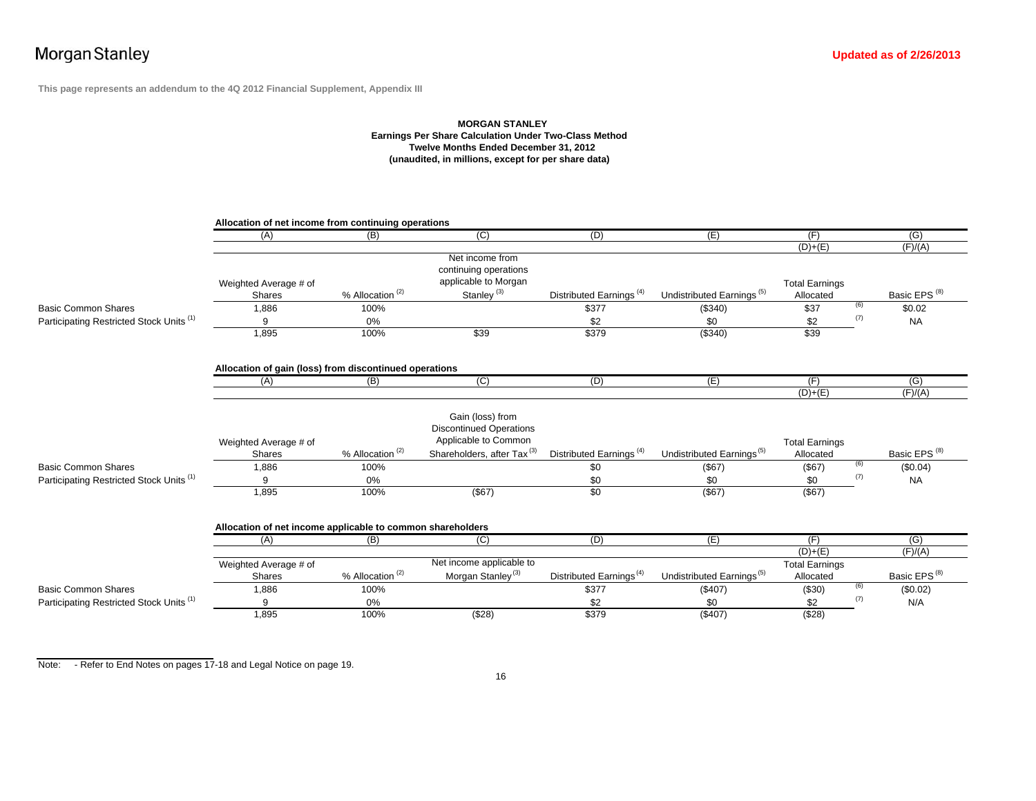**This page represents an addendum to the 4Q 2012 Financial Supplement, Appendix III**

### **MORGAN STANLE Y Earnings Per Share Calculation Under Two-Class Method Twelve Months Ended December 31, 2012 (unaudited, in millions, except for per share data)**

|                                          | Allocation of net income from continuing operations        |                               |                                                                                                                      |                                     |                                       |                                    |     |                          |  |  |  |  |  |
|------------------------------------------|------------------------------------------------------------|-------------------------------|----------------------------------------------------------------------------------------------------------------------|-------------------------------------|---------------------------------------|------------------------------------|-----|--------------------------|--|--|--|--|--|
|                                          | (A)                                                        | (B)                           | (C)                                                                                                                  | (D)                                 | (E)                                   | (F)                                |     | (G)                      |  |  |  |  |  |
|                                          |                                                            |                               |                                                                                                                      |                                     |                                       | $(D)+(E)$                          |     | (F)/(A)                  |  |  |  |  |  |
|                                          |                                                            |                               | Net income from                                                                                                      |                                     |                                       |                                    |     |                          |  |  |  |  |  |
|                                          |                                                            |                               | continuing operations                                                                                                |                                     |                                       |                                    |     |                          |  |  |  |  |  |
|                                          | Weighted Average # of                                      |                               | applicable to Morgan                                                                                                 |                                     |                                       | <b>Total Earnings</b>              |     |                          |  |  |  |  |  |
|                                          | Shares                                                     | % Allocation <sup>(2)</sup>   | Stanley <sup>(3)</sup>                                                                                               | Distributed Earnings <sup>(4)</sup> | Undistributed Earnings <sup>(5)</sup> | Allocated                          |     | Basic EPS <sup>(8)</sup> |  |  |  |  |  |
| <b>Basic Common Shares</b>               | 1,886                                                      | 100%                          |                                                                                                                      | \$377                               | (\$340)                               | \$37                               | (6) | \$0.02                   |  |  |  |  |  |
| Participating Restricted Stock Units (1) | 9                                                          | 0%                            |                                                                                                                      | \$2                                 | \$0                                   | \$2                                | (7) | <b>NA</b>                |  |  |  |  |  |
|                                          | 1,895                                                      | 100%                          | \$39                                                                                                                 | \$379                               | ( \$340)                              | \$39                               |     |                          |  |  |  |  |  |
|                                          | Allocation of gain (loss) from discontinued operations     |                               |                                                                                                                      |                                     |                                       |                                    |     |                          |  |  |  |  |  |
|                                          | (A)                                                        | (B)                           | (C)                                                                                                                  | (D)                                 | (E)                                   | (F)                                |     | (G)                      |  |  |  |  |  |
|                                          |                                                            |                               |                                                                                                                      |                                     |                                       | $(D)+(E)$                          |     | (F)/(A)                  |  |  |  |  |  |
|                                          | Weighted Average # of<br>Shares                            | % Allocation <sup>(2)</sup>   | Gain (loss) from<br><b>Discontinued Operations</b><br>Applicable to Common<br>Shareholders, after Tax <sup>(3)</sup> | Distributed Earnings <sup>(4)</sup> | Undistributed Earnings <sup>(5)</sup> | <b>Total Earnings</b><br>Allocated |     | Basic EPS <sup>(8)</sup> |  |  |  |  |  |
| <b>Basic Common Shares</b>               | 1,886                                                      | 100%                          |                                                                                                                      | \$0                                 | (\$67)                                | (\$67)                             | (6) | (\$0.04)                 |  |  |  |  |  |
| Participating Restricted Stock Units (1) |                                                            | 0%                            |                                                                                                                      | \$0                                 | \$0                                   | \$0                                | (7) | <b>NA</b>                |  |  |  |  |  |
|                                          | 1,895                                                      | 100%                          | $($ \$67)                                                                                                            | \$0                                 | (\$67)                                | $($ \$67)                          |     |                          |  |  |  |  |  |
|                                          | Allocation of net income applicable to common shareholders |                               |                                                                                                                      |                                     |                                       |                                    |     |                          |  |  |  |  |  |
|                                          | (A)                                                        | (B)                           | (C)                                                                                                                  | (D)                                 | (E)                                   | (F)                                |     | $\overline{(G)}$         |  |  |  |  |  |
|                                          |                                                            |                               |                                                                                                                      |                                     |                                       | $(D)+(E)$                          |     | (F)/(A)                  |  |  |  |  |  |
|                                          | Weighted Average # of                                      |                               | Net income applicable to                                                                                             |                                     |                                       | <b>Total Earnings</b>              |     |                          |  |  |  |  |  |
|                                          | Shares                                                     | $%$ Allocation <sup>(2)</sup> | Morgan Stanley <sup>(3)</sup>                                                                                        | Distributed Earnings <sup>(4)</sup> | Undistributed Earnings <sup>(5)</sup> | Allocated                          |     | Basic EPS <sup>(8)</sup> |  |  |  |  |  |
| <b>Basic Common Shares</b>               | 1,886                                                      | 100%                          |                                                                                                                      | \$377                               | (\$407)                               | (\$30)                             | (6) | (\$0.02)                 |  |  |  |  |  |
| Participating Restricted Stock Units (1) | 9                                                          | 0%                            |                                                                                                                      | \$2                                 | \$0                                   | \$2                                | (7) | N/A                      |  |  |  |  |  |
|                                          | 1,895                                                      | 100%                          | (\$28)                                                                                                               | \$379                               | (\$407)                               | (\$28)                             |     |                          |  |  |  |  |  |

Note: - Refer to End Notes on pages 17-18 and Legal Notice on page 19.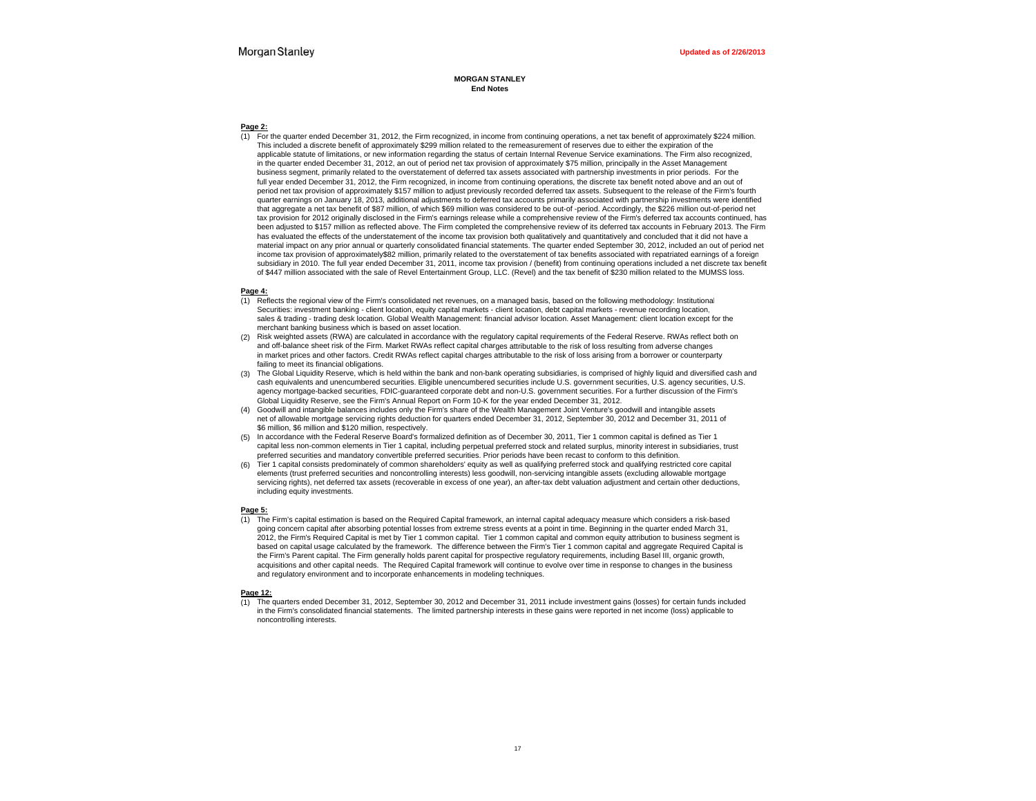#### **MORGAN STANLEYEnd Notes**

#### **Page 2:**

(1) For the quarter ended December 31, 2012, the Firm recognized, in income from continuing operations, a net tax benefit of approximately \$224 million. This included a discrete benefit of approximately \$299 million related to the remeasurement of reserves due to either the expiration of the applicable statute of limitations, or new information regarding the status of certain Internal Revenue Service examinations. The Firm also recognized, in the quarter ended December 31, 2012, an out of period net tax provision of approximately \$75 million, principally in the Asset Management business segment, primarily related to the overstatement of deferred tax assets associated with partnership investments in prior periods. For the full year ended December 31, 2012, the Firm recognized, in income from continuing operations, the discrete tax benefit noted above and an out of period net tax provision of approximately \$157 million to adjust previously recorded deferred tax assets. Subsequent to the release of the Firm's fourth quarter earnings on January 18, 2013, additional adjustments to deferred tax accounts primarily associated with partnership investments were identified that aggregate a net tax benefit of \$87 million, of which \$69 million was considered to be out-of -period. Accordingly, the \$226 million out-of-period net tax provision for 2012 originally disclosed in the Firm's earnings release while a comprehensive review of the Firm's deferred tax accounts continued, has been adjusted to \$157 million as reflected above. The Firm completed the comprehensive review of its deferred tax accounts in February 2013. The Firm has evaluated the effects of the understatement of the income tax provision both qualitatively and quantitatively and concluded that it did not have a material impact on any prior annual or quarterly consolidated financial statements. The quarter ended September 30, 2012, included an out of period net income tax provision of approximately\$82 million, primarily related to the overstatement of tax benefits associated with repatriated earnings of a foreign subsidiary in 2010. The full year ended December 31, 2011, income tax provision / (benefit) from continuing operations included a net discrete tax benefit of \$447 million associated with the sale of Revel Entertainment Group, LLC. (Revel) and the tax benefit of \$230 million related to the MUMSS loss.

#### **Page 4:**

- (1) Reflects the regional view of the Firm's consolidated net revenues, on a managed basis, based on the following methodology: Institutional Securities: investment banking - client location, equity capital markets - client location, debt capital markets - revenue recording location, sales & trading - trading desk location. Global Wealth Management: financial advisor location. Asset Management: client location except for the merchant banking business which is based on asset location.
- (2) Risk weighted assets (RWA) are calculated in accordance with the regulatory capital requirements of the Federal Reserve. RWAs reflect both on and off-balance sheet risk of the Firm. Market RWAs reflect capital charges attributable to the risk of loss resulting from adverse changes in market prices and other factors. Credit RWAs reflect capital charges attributable to the risk of loss arising from a borrower or counterparty failing to meet its financial obligations.
- (3) The Global Liquidity Reserve, which is held within the bank and non-bank operating subsidiaries, is comprised of highly liquid and diversified cash and cash equivalents and unencumbered securities. Eligible unencumbered securities include U.S. government securities, U.S. agency securities, U.S. agency mortgage-backed securities, FDIC-guaranteed corporate debt and non-U.S. government securities. For a further discussion of the Firm's Global Liquidity Reserve, see the Firm's Annual Report on Form 10-K for the year ended December 31, 2012.
- (4) Goodwill and intangible balances includes only the Firm's share of the Wealth Management Joint Venture's goodwill and intangible assets net of allowable mortgage servicing rights deduction for quarters ended December 31, 2012, September 30, 2012 and December 31, 2011 of \$6 million, \$6 million and \$120 million, respectively.
- (5) In accordance with the Federal Reserve Board's formalized definition as of December 30, 2011, Tier 1 common capital is defined as Tier 1 capital less non-common elements in Tier 1 capital, including perpetual preferred stock and related surplus, minority interest in subsidiaries, trust preferred securities and mandatory convertible preferred securities. Prior periods have been recast to conform to this definition.
- Tier 1 capital consists predominately of common shareholders' equity as well as qualifying preferred stock and qualifying restricted core capital elements (trust preferred securities and noncontrolling interests) less goodwill, non-servicing intangible assets (excluding allowable mortgage servicing rights), net deferred tax assets (recoverable in excess of one year), an after-tax debt valuation adjustment and certain other deductions, including equity investments.

#### **Page 5:**

(1) The Firm's capital estimation is based on the Required Capital framework, an internal capital adequacy measure which considers a risk-based going concern capital after absorbing potential losses from extreme stress events at a point in time. Beginning in the quarter ended March 31, 2012, the Firm's Required Capital is met by Tier 1 common capital. Tier 1 common capital and common equity attribution to business segment is based on capital usage calculated by the framework. The difference between the Firm's Tier 1 common capital and aggregate Required Capital is the Firm's Parent capital. The Firm generally holds parent capital for prospective regulatory requirements, including Basel III, organic growth, acquisitions and other capital needs. The Required Capital framework will continue to evolve over time in response to changes in the business and regulatory environment and to incorporate enhancements in modeling techniques.

#### **Page 12:**

(1) The quarters ended December 31, 2012, September 30, 2012 and December 31, 2011 include investment gains (losses) for certain funds included in the Firm's consolidated financial statements. The limited partnership interests in these gains were reported in net income (loss) applicable to noncontrolling interests.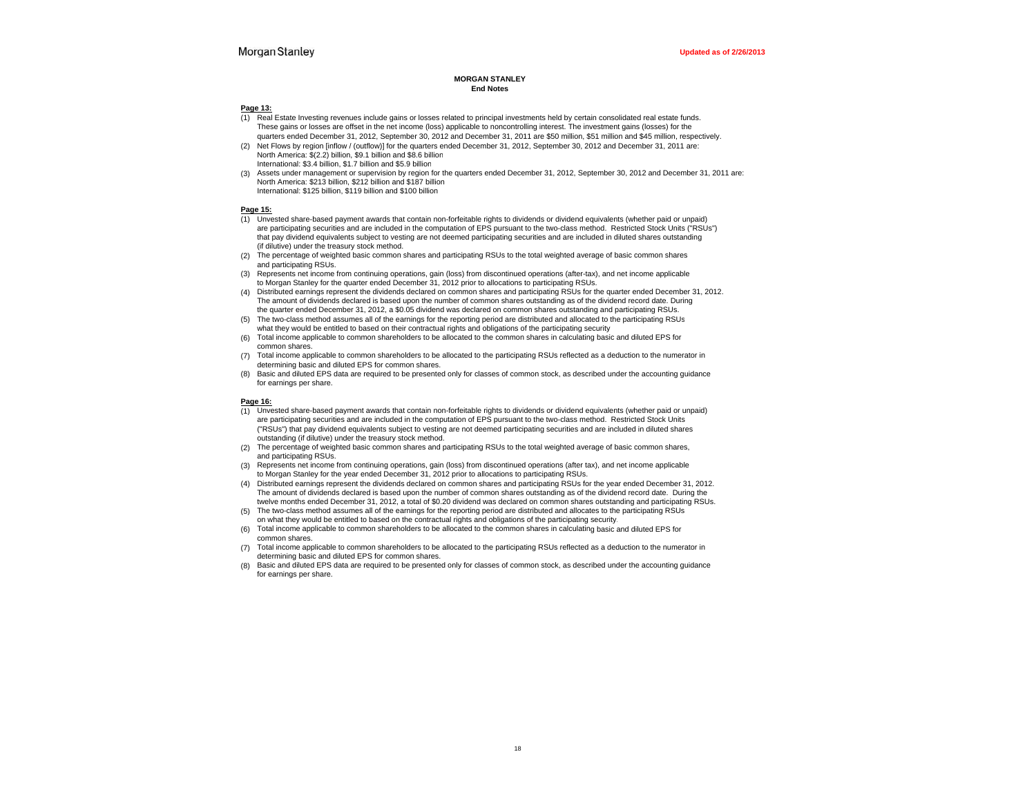#### **MORGAN STANLEYEnd Notes**

#### **Page 13:**

- (1) Real Estate Investing revenues include gains or losses related to principal investments held by certain consolidated real estate funds. These gains or losses are offset in the net income (loss) applicable to noncontrolling interest. The investment gains (losses) for the quarters ended December 31, 2012, September 30, 2012 and December 31, 2011 are \$50 million, \$51 million and \$45 million, respectively.
- (2) Net Flows by region [inflow / (outflow)] for the quarters ended December 31, 2012, September 30, 2012 and December 31, 2011 are: North America: \$(2.2) billion, \$9.1 billion and \$8.6 billion International: \$3.4 billion, \$1.7 billion and \$5.9 billion
- (3) Assets under management or supervision by region for the quarters ended December 31, 2012, September 30, 2012 and December 31, 2011 are: North America: \$213 billion, \$212 billion and \$187 billion International: \$125 billion, \$119 billion and \$100 billion

#### **Page 15:**

- (1) Unvested share-based payment awards that contain non-forfeitable rights to dividends or dividend equivalents (whether paid or unpaid) are participating securities and are included in the computation of EPS pursuant to the two-class method. Restricted Stock Units ("RSUs") that pay dividend equivalents subject to vesting are not deemed participating securities and are included in diluted shares outstanding (if dilutive) under the treasury stock method.
- (2) The percentage of weighted basic common shares and participating RSUs to the total weighted average of basic common shares and participating RSUs.
- (3) Represents net income from continuing operations, gain (loss) from discontinued operations (after-tax), and net income applicable to Morgan Stanley for the quarter ended December 31, 2012 prior to allocations to participating RSUs.
- (4) Distributed earnings represent the dividends declared on common shares and participating RSUs for the quarter ended December 31, 2012. The amount of dividends declared is based upon the number of common shares outstanding as of the dividend record date. During the quarter ended December 31, 2012, a \$0.05 dividend was declared on common shares outstanding and participating RSUs.
- (5) The two-class method assumes all of the earnings for the reporting period are distributed and allocated to the participating RSUs what they would be entitled to based on their contractual rights and obligations of the participating security
- (6) Total income applicable to common shareholders to be allocated to the common shares in calculating basic and diluted EPS for common shares.
- (7) Total income applicable to common shareholders to be allocated to the participating RSUs reflected as a deduction to the numerator in determining basic and diluted EPS for common shares.
- (8) Basic and diluted EPS data are required to be presented only for classes of common stock, as described under the accounting guidance for earnings per share.

#### **Page 16:**

- (1) Unvested share-based payment awards that contain non-forfeitable rights to dividends or dividend equivalents (whether paid or unpaid) are participating securities and are included in the computation of EPS pursuant to the two-class method. Restricted Stock Units ("RSUs") that pay dividend equivalents subject to vesting are not deemed participating securities and are included in diluted shares outstanding (if dilutive) under the treasury stock method.
- (2) The percentage of weighted basic common shares and participating RSUs to the total weighted average of basic common shares, and participating RSUs.
- (3) Represents net income from continuing operations, gain (loss) from discontinued operations (after tax), and net income applicable to Morgan Stanley for the year ended December 31, 2012 prior to allocations to participating RSUs.
- (4) Distributed earnings represent the dividends declared on common shares and participating RSUs for the year ended December 31, 2012. The amount of dividends declared is based upon the number of common shares outstanding as of the dividend record date. During the twelve months ended December 31, 2012, a total of \$0.20 dividend was declared on common shares outstanding and participating RSUs.
- (5) The two-class method assumes all of the earnings for the reporting period are distributed and allocates to the participating RSUs on what they would be entitled to based on the contractual rights and obligations of the participating security.
- (6) Total income applicable to common shareholders to be allocated to the common shares in calculating basic and diluted EPS for common shares.
- (7) Total income applicable to common shareholders to be allocated to the participating RSUs reflected as a deduction to the numerator in determining basic and diluted EPS for common shares.
- (8) Basic and diluted EPS data are required to be presented only for classes of common stock, as described under the accounting guidance for earnings per share.